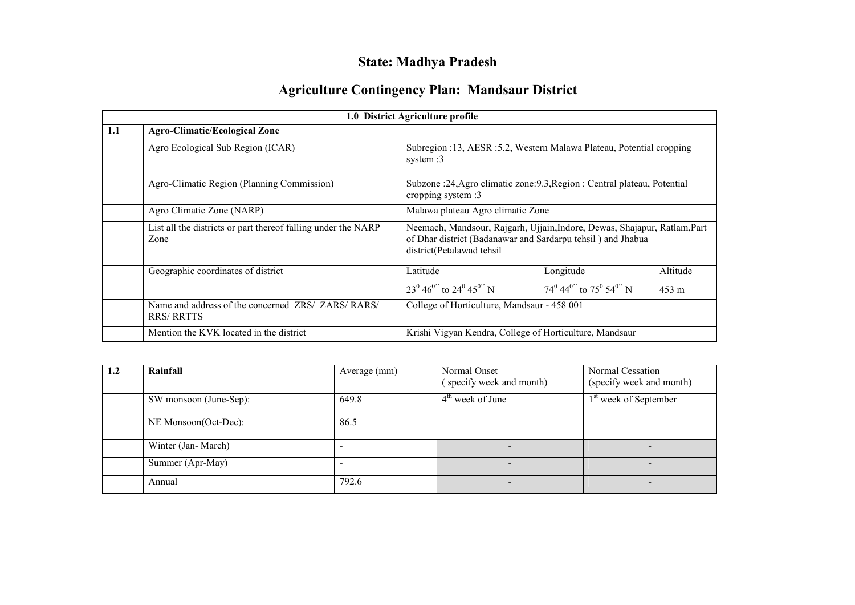# State: Madhya Pradesh

## Agriculture Contingency Plan: Mandsaur District

|     | 1.0 District Agriculture profile                                        |                                                                                                                                                                       |                                                                  |                 |  |  |  |  |  |
|-----|-------------------------------------------------------------------------|-----------------------------------------------------------------------------------------------------------------------------------------------------------------------|------------------------------------------------------------------|-----------------|--|--|--|--|--|
| 1.1 | <b>Agro-Climatic/Ecological Zone</b>                                    |                                                                                                                                                                       |                                                                  |                 |  |  |  |  |  |
|     | Agro Ecological Sub Region (ICAR)                                       | Subregion : 13, AESR : 5.2, Western Malawa Plateau, Potential cropping<br>system : 3                                                                                  |                                                                  |                 |  |  |  |  |  |
|     | Agro-Climatic Region (Planning Commission)                              | Subzone : 24, Agro climatic zone: 9.3, Region : Central plateau, Potential<br>cropping system :3                                                                      |                                                                  |                 |  |  |  |  |  |
|     | Agro Climatic Zone (NARP)                                               | Malawa plateau Agro climatic Zone                                                                                                                                     |                                                                  |                 |  |  |  |  |  |
|     | List all the districts or part thereof falling under the NARP<br>Zone   | Neemach, Mandsour, Rajgarh, Ujjain, Indore, Dewas, Shajapur, Ratlam, Part<br>of Dhar district (Badanawar and Sardarpu tehsil) and Jhabua<br>district(Petalawad tehsil |                                                                  |                 |  |  |  |  |  |
|     | Geographic coordinates of district                                      | Latitude                                                                                                                                                              | Longitude                                                        | Altitude        |  |  |  |  |  |
|     |                                                                         | $23^{\circ} 46^{\circ}$ to $24^{\circ} 45^{\circ}$ N                                                                                                                  | $74^{\circ}$ 44 <sup>0"</sup> to $75^{\circ}$ 54 <sup>0"</sup> N | $453 \text{ m}$ |  |  |  |  |  |
|     | Name and address of the concerned ZRS/ ZARS/ RARS/<br><b>RRS/ RRTTS</b> | College of Horticulture, Mandsaur - 458 001                                                                                                                           |                                                                  |                 |  |  |  |  |  |
|     | Mention the KVK located in the district                                 | Krishi Vigyan Kendra, College of Horticulture, Mandsaur                                                                                                               |                                                                  |                 |  |  |  |  |  |

| 1.2 | Rainfall               | Average (mm) | Normal Onset             | Normal Cessation                  |  |
|-----|------------------------|--------------|--------------------------|-----------------------------------|--|
|     |                        |              | (specify week and month) | (specify week and month)          |  |
|     | SW monsoon (June-Sep): | 649.8        | $4th$ week of June       | 1 <sup>st</sup> week of September |  |
|     | NE Monsoon(Oct-Dec):   | 86.5         |                          |                                   |  |
|     | Winter (Jan-March)     |              |                          |                                   |  |
|     | Summer (Apr-May)       |              |                          |                                   |  |
|     | Annual                 | 792.6        |                          |                                   |  |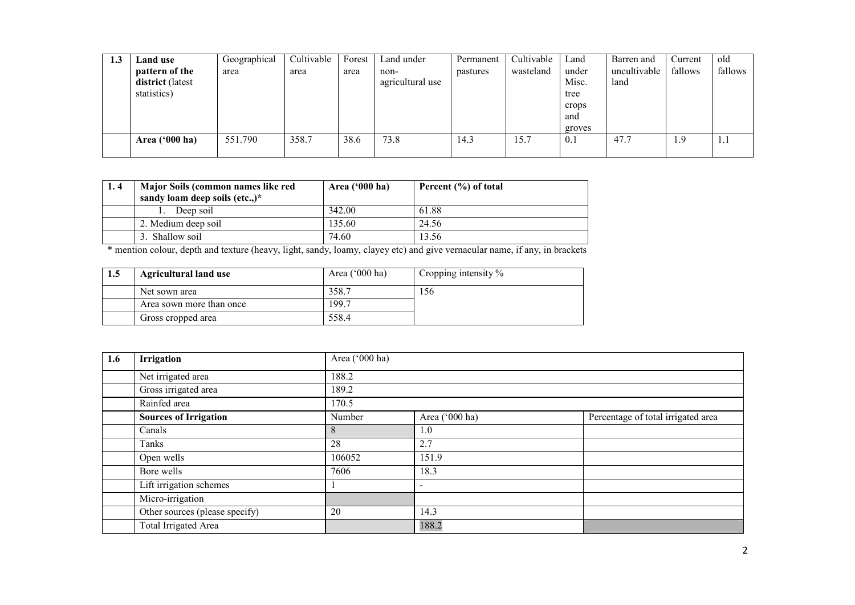| 1.3 | Land use                | Geographical | Cultivable | Forest | Land under       | Permanent | Cultivable | Land   | Barren and   | Current | old     |
|-----|-------------------------|--------------|------------|--------|------------------|-----------|------------|--------|--------------|---------|---------|
|     | pattern of the          | area         | area       | area   | non-             | pastures  | wasteland  | under  | uncultivable | fallows | fallows |
|     | district (latest        |              |            |        | agricultural use |           |            | Misc.  | land         |         |         |
|     | statistics)             |              |            |        |                  |           |            | tree   |              |         |         |
|     |                         |              |            |        |                  |           |            | crops  |              |         |         |
|     |                         |              |            |        |                  |           |            | and    |              |         |         |
|     |                         |              |            |        |                  |           |            | groves |              |         |         |
|     | Area $(900 \text{ ha})$ | 551.790      | 358.7      | 38.6   | 73.8             | 14.3      | 15.7       | 0.1    | 47.7         | 1.9     | 1.1     |
|     |                         |              |            |        |                  |           |            |        |              |         |         |

| 1.4 | Major Soils (common names like red<br>sandy loam deep soils (etc.,)*                                                       | Area $('000 ha)$ | Percent (%) of total |
|-----|----------------------------------------------------------------------------------------------------------------------------|------------------|----------------------|
|     | Deep soil                                                                                                                  | 342.00           | 61.88                |
|     | 2. Medium deep soil                                                                                                        | 135.60           | 24.56                |
|     | 3. Shallow soil                                                                                                            | 74.60            | 13.56                |
|     | * mention colour, depth and texture (heavy, light, sandy, loamy, clayey etc) and give vernacular name, if any, in brackets |                  |                      |

| 1.5 | <b>Agricultural land use</b> | Area $(^{\circ}000$ ha) | Cropping intensity $\%$ |
|-----|------------------------------|-------------------------|-------------------------|
|     | Net sown area                | 358.7                   | 156                     |
|     | Area sown more than once     | 199.7                   |                         |
|     | Gross cropped area           | 558.4                   |                         |

| 1.6 | Irrigation                     |        | Area ('000 ha)           |                                    |  |  |  |  |
|-----|--------------------------------|--------|--------------------------|------------------------------------|--|--|--|--|
|     | Net irrigated area             | 188.2  |                          |                                    |  |  |  |  |
|     | Gross irrigated area           | 189.2  |                          |                                    |  |  |  |  |
|     | Rainfed area                   | 170.5  |                          |                                    |  |  |  |  |
|     | <b>Sources of Irrigation</b>   | Number | Area ('000 ha)           | Percentage of total irrigated area |  |  |  |  |
|     | Canals                         | 8      | 1.0                      |                                    |  |  |  |  |
|     | Tanks                          | 28     | 2.7                      |                                    |  |  |  |  |
|     | Open wells                     | 106052 | 151.9                    |                                    |  |  |  |  |
|     | Bore wells                     | 7606   | 18.3                     |                                    |  |  |  |  |
|     | Lift irrigation schemes        |        | $\overline{\phantom{a}}$ |                                    |  |  |  |  |
|     | Micro-irrigation               |        |                          |                                    |  |  |  |  |
|     | Other sources (please specify) | 20     | 14.3                     |                                    |  |  |  |  |
|     | Total Irrigated Area           |        | 188.2                    |                                    |  |  |  |  |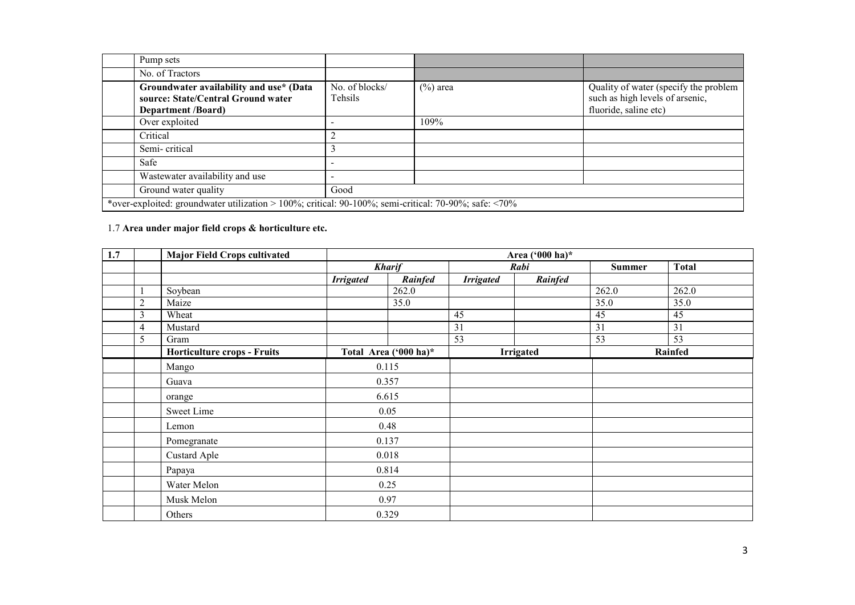| Pump sets                                                                                                  |                           |             |                                                                                                   |  |  |  |  |  |
|------------------------------------------------------------------------------------------------------------|---------------------------|-------------|---------------------------------------------------------------------------------------------------|--|--|--|--|--|
| No. of Tractors                                                                                            |                           |             |                                                                                                   |  |  |  |  |  |
| Groundwater availability and use* (Data<br>source: State/Central Ground water<br><b>Department</b> /Board) | No. of blocks/<br>Tehsils | $(\%)$ area | Quality of water (specify the problem<br>such as high levels of arsenic,<br>fluoride, saline etc) |  |  |  |  |  |
| Over exploited                                                                                             |                           | 109%        |                                                                                                   |  |  |  |  |  |
| Critical                                                                                                   |                           |             |                                                                                                   |  |  |  |  |  |
| Semi-critical                                                                                              |                           |             |                                                                                                   |  |  |  |  |  |
| Safe                                                                                                       |                           |             |                                                                                                   |  |  |  |  |  |
| Wastewater availability and use                                                                            |                           |             |                                                                                                   |  |  |  |  |  |
| Ground water quality                                                                                       | Good                      |             |                                                                                                   |  |  |  |  |  |
| *over-exploited: groundwater utilization $> 100\%$ ; critical: 90-100%; semi-critical: 70-90%; safe: <70%  |                           |             |                                                                                                   |  |  |  |  |  |

### 1.7 Area under major field crops & horticulture etc.

| 1.7 |                | <b>Major Field Crops cultivated</b> | Area $(^{o}000$ ha)*  |               |                  |         |               |              |
|-----|----------------|-------------------------------------|-----------------------|---------------|------------------|---------|---------------|--------------|
|     |                |                                     |                       | <b>Kharif</b> | Rabi             |         | <b>Summer</b> | <b>Total</b> |
|     |                |                                     | <b>Irrigated</b>      | Rainfed       | <b>Irrigated</b> | Rainfed |               |              |
|     |                | Soybean                             |                       | 262.0         |                  |         | 262.0         | 262.0        |
|     | $\overline{2}$ | Maize                               |                       | 35.0          |                  |         | 35.0          | 35.0         |
|     | $\mathfrak{Z}$ | Wheat                               |                       |               | 45               |         | 45            | 45           |
|     | $\overline{4}$ | Mustard                             |                       |               | 31               |         | 31            | 31           |
|     | 5              | Gram                                |                       |               | 53               |         | 53            | 53           |
|     |                | <b>Horticulture crops - Fruits</b>  | Total Area ('000 ha)* |               | <b>Irrigated</b> |         | Rainfed       |              |
|     |                | Mango                               |                       | 0.115         |                  |         |               |              |
|     |                | Guava                               |                       | 0.357         |                  |         |               |              |
|     |                | orange                              |                       | 6.615         |                  |         |               |              |
|     |                | Sweet Lime                          |                       | 0.05          |                  |         |               |              |
|     |                | Lemon                               |                       | 0.48          |                  |         |               |              |
|     |                | Pomegranate                         |                       | 0.137         |                  |         |               |              |
|     |                | <b>Custard Aple</b>                 |                       | 0.018         |                  |         |               |              |
|     |                | Papaya                              | 0.814                 |               |                  |         |               |              |
|     |                | Water Melon                         | 0.25                  |               |                  |         |               |              |
|     |                | Musk Melon                          | 0.97                  |               |                  |         |               |              |
|     |                | Others                              |                       | 0.329         |                  |         |               |              |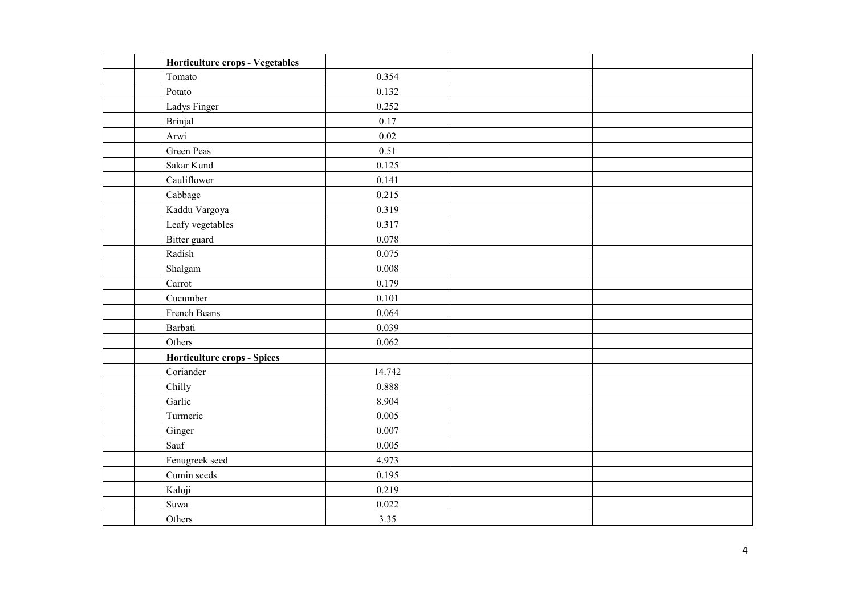| Horticulture crops - Vegetables    |        |  |
|------------------------------------|--------|--|
| Tomato                             | 0.354  |  |
| Potato                             | 0.132  |  |
| Ladys Finger                       | 0.252  |  |
| <b>Brinjal</b>                     | 0.17   |  |
| Arwi                               | 0.02   |  |
| Green Peas                         | 0.51   |  |
| Sakar Kund                         | 0.125  |  |
| Cauliflower                        | 0.141  |  |
| Cabbage                            | 0.215  |  |
| Kaddu Vargoya                      | 0.319  |  |
| Leafy vegetables                   | 0.317  |  |
| Bitter guard                       | 0.078  |  |
| Radish                             | 0.075  |  |
| Shalgam                            | 0.008  |  |
| Carrot                             | 0.179  |  |
| Cucumber                           | 0.101  |  |
| French Beans                       | 0.064  |  |
| Barbati                            | 0.039  |  |
| Others                             | 0.062  |  |
| <b>Horticulture crops - Spices</b> |        |  |
| Coriander                          | 14.742 |  |
| Chilly                             | 0.888  |  |
| Garlic                             | 8.904  |  |
| Turmeric                           | 0.005  |  |
| Ginger                             | 0.007  |  |
| Sauf                               | 0.005  |  |
| Fenugreek seed                     | 4.973  |  |
| Cumin seeds                        | 0.195  |  |
| Kaloji                             | 0.219  |  |
| Suwa                               | 0.022  |  |
| Others                             | 3.35   |  |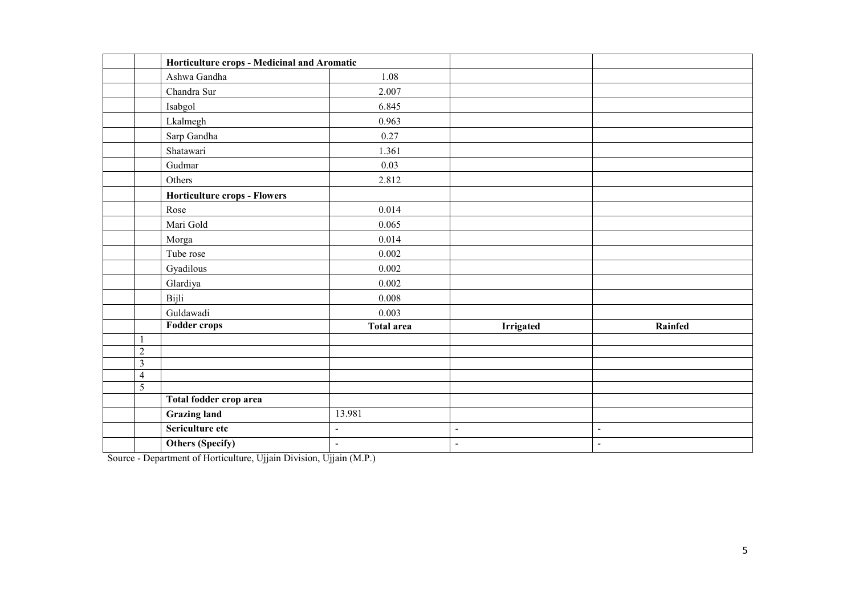|                                           | Horticulture crops - Medicinal and Aromatic |                   |                  |                |
|-------------------------------------------|---------------------------------------------|-------------------|------------------|----------------|
|                                           | Ashwa Gandha                                | 1.08              |                  |                |
|                                           | Chandra Sur                                 | 2.007             |                  |                |
|                                           | Isabgol                                     | 6.845             |                  |                |
|                                           | Lkalmegh                                    | 0.963             |                  |                |
|                                           | Sarp Gandha                                 | 0.27              |                  |                |
|                                           | Shatawari                                   | 1.361             |                  |                |
|                                           | Gudmar                                      | 0.03              |                  |                |
|                                           | Others                                      | 2.812             |                  |                |
|                                           | Horticulture crops - Flowers                |                   |                  |                |
|                                           | Rose                                        | 0.014             |                  |                |
|                                           | Mari Gold                                   | 0.065             |                  |                |
|                                           | Morga                                       | 0.014             |                  |                |
|                                           | Tube rose                                   | 0.002             |                  |                |
|                                           | Gyadilous                                   | 0.002             |                  |                |
|                                           | Glardiya                                    | 0.002             |                  |                |
|                                           | Bijli                                       | 0.008             |                  |                |
|                                           | Guldawadi                                   | 0.003             |                  |                |
|                                           | <b>Fodder crops</b>                         | <b>Total area</b> | <b>Irrigated</b> | Rainfed        |
| $\mathbf{1}$                              |                                             |                   |                  |                |
| $\overline{2}$<br>$\overline{\mathbf{3}}$ |                                             |                   |                  |                |
| $\overline{4}$                            |                                             |                   |                  |                |
| 5                                         |                                             |                   |                  |                |
|                                           | Total fodder crop area                      |                   |                  |                |
|                                           | <b>Grazing land</b>                         | 13.981            |                  |                |
|                                           | Sericulture etc                             | $\blacksquare$    | $\blacksquare$   | $\blacksquare$ |
|                                           | <b>Others (Specify)</b>                     | $\blacksquare$    | $\blacksquare$   | $\blacksquare$ |

Source - Department of Horticulture, Ujjain Division, Ujjain (M.P.)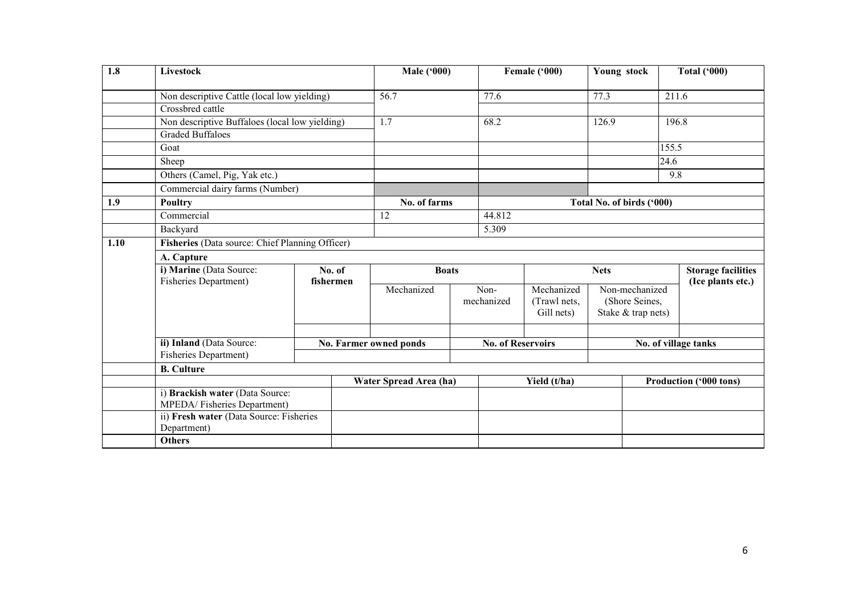| 1.8  | Livestock                                                      |                                                 |              | <b>Male ('000)</b>     |        |                          | Female ('000)                | Young stock               |                           | <b>Total ('000)</b>    |  |
|------|----------------------------------------------------------------|-------------------------------------------------|--------------|------------------------|--------|--------------------------|------------------------------|---------------------------|---------------------------|------------------------|--|
|      | Non descriptive Cattle (local low yielding)                    |                                                 |              | 56.7                   |        | 77.6                     |                              | 77.3                      |                           | 211.6                  |  |
|      | Crossbred cattle                                               |                                                 |              |                        |        |                          |                              |                           |                           |                        |  |
|      | Non descriptive Buffaloes (local low yielding)                 |                                                 |              | 1.7                    |        | 68.2                     |                              | 126.9                     |                           | 196.8                  |  |
|      | <b>Graded Buffaloes</b>                                        |                                                 |              |                        |        |                          |                              |                           |                           |                        |  |
|      | Goat                                                           |                                                 |              |                        |        |                          |                              |                           |                           | 155.5                  |  |
|      | Sheep                                                          |                                                 |              |                        |        |                          |                              |                           |                           | 24.6                   |  |
|      | Others (Camel, Pig, Yak etc.)                                  |                                                 |              |                        |        |                          |                              |                           |                           | 9.8                    |  |
|      | Commercial dairy farms (Number)                                |                                                 |              |                        |        |                          |                              |                           |                           |                        |  |
| 1.9  | <b>Poultry</b><br>Commercial                                   |                                                 | No. of farms |                        |        |                          |                              | Total No. of birds ('000) |                           |                        |  |
|      |                                                                |                                                 | 12           |                        | 44.812 |                          |                              |                           |                           |                        |  |
|      | Backyard                                                       |                                                 |              |                        |        | 5.309                    |                              |                           |                           |                        |  |
| 1.10 |                                                                | Fisheries (Data source: Chief Planning Officer) |              |                        |        |                          |                              |                           |                           |                        |  |
|      | A. Capture                                                     |                                                 |              |                        |        |                          |                              |                           |                           |                        |  |
|      | i) Marine (Data Source:                                        | No. of                                          |              | <b>Boats</b>           |        |                          | <b>Nets</b>                  |                           | <b>Storage facilities</b> |                        |  |
|      | <b>Fisheries Department)</b>                                   |                                                 | fishermen    | Mechanized             |        | Non-                     | Mechanized<br>Non-mechanized |                           | (Ice plants etc.)         |                        |  |
|      |                                                                |                                                 |              |                        |        | mechanized               | (Trawl nets,                 |                           | (Shore Seines,            |                        |  |
|      |                                                                |                                                 |              |                        |        |                          | Gill nets)                   |                           | Stake & trap nets)        |                        |  |
|      |                                                                |                                                 |              |                        |        |                          |                              |                           |                           |                        |  |
|      | ii) Inland (Data Source:                                       |                                                 |              |                        |        | <b>No. of Reservoirs</b> |                              |                           |                           |                        |  |
|      | Fisheries Department)                                          |                                                 |              | No. Farmer owned ponds |        |                          |                              |                           |                           | No. of village tanks   |  |
|      | <b>B.</b> Culture                                              |                                                 |              |                        |        |                          |                              |                           |                           |                        |  |
|      |                                                                |                                                 |              | Water Spread Area (ha) |        |                          | Yield (t/ha)                 |                           |                           | Production ('000 tons) |  |
|      | i) Brackish water (Data Source:<br>MPEDA/Fisheries Department) |                                                 |              |                        |        |                          |                              |                           |                           |                        |  |
|      | ii) Fresh water (Data Source: Fisheries<br>Department)         |                                                 |              |                        |        |                          |                              |                           |                           |                        |  |
|      | <b>Others</b>                                                  |                                                 |              |                        |        |                          |                              |                           |                           |                        |  |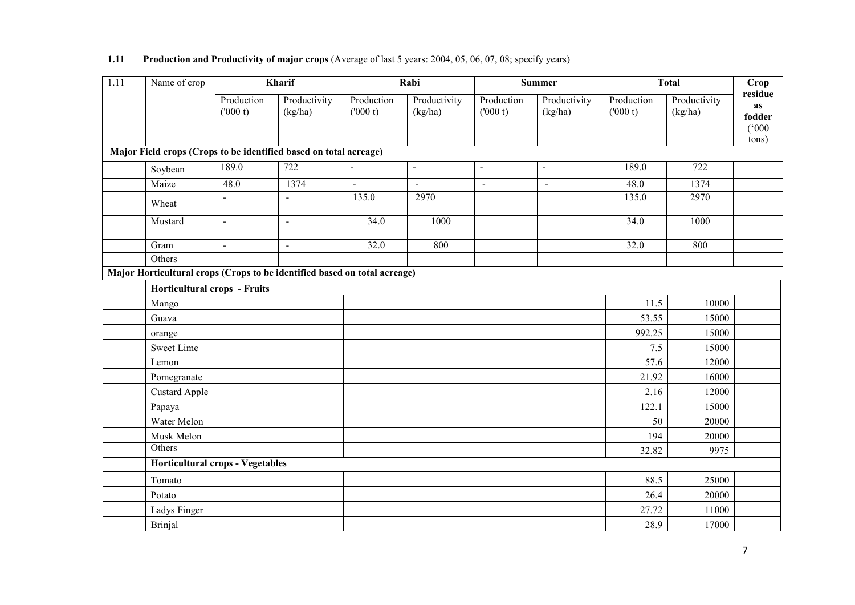#### 1.11 Production and Productivity of major crops (Average of last 5 years: 2004, 05, 06, 07, 08; specify years)

| 1.11 | Name of crop                                                              |                       | Kharif                  | Rabi                  |                         | <b>Summer</b>         |                         | <b>Total</b>          | Crop                    |                                           |
|------|---------------------------------------------------------------------------|-----------------------|-------------------------|-----------------------|-------------------------|-----------------------|-------------------------|-----------------------|-------------------------|-------------------------------------------|
|      |                                                                           | Production<br>(000 t) | Productivity<br>(kg/ha) | Production<br>(000 t) | Productivity<br>(kg/ha) | Production<br>(000 t) | Productivity<br>(kg/ha) | Production<br>(000 t) | Productivity<br>(kg/ha) | residue<br>as<br>fodder<br>(000)<br>tons) |
|      | Major Field crops (Crops to be identified based on total acreage)         |                       |                         |                       |                         |                       |                         |                       |                         |                                           |
|      | Soybean                                                                   | 189.0                 | 722                     | $\blacksquare$        | $\blacksquare$          | $\blacksquare$        | $\blacksquare$          | 189.0                 | 722                     |                                           |
|      | Maize                                                                     | 48.0                  | 1374                    | $\Delta$              | $\Box$                  | $\omega$              | $\blacksquare$          | 48.0                  | 1374                    |                                           |
|      | Wheat                                                                     | L.                    | $\blacksquare$          | 135.0                 | 2970                    |                       |                         | 135.0                 | 2970                    |                                           |
|      | Mustard                                                                   | $\blacksquare$        | $\overline{a}$          | 34.0                  | 1000                    |                       |                         | 34.0                  | 1000                    |                                           |
|      | Gram                                                                      | $\blacksquare$        | $\blacksquare$          | 32.0                  | 800                     |                       |                         | 32.0                  | 800                     |                                           |
|      | Others                                                                    |                       |                         |                       |                         |                       |                         |                       |                         |                                           |
|      | Major Horticultural crops (Crops to be identified based on total acreage) |                       |                         |                       |                         |                       |                         |                       |                         |                                           |
|      | <b>Horticultural crops - Fruits</b>                                       |                       |                         |                       |                         |                       |                         |                       |                         |                                           |
|      | Mango                                                                     |                       |                         |                       |                         |                       |                         | 11.5                  | 10000                   |                                           |
|      | Guava                                                                     |                       |                         |                       |                         |                       |                         | 53.55                 | 15000                   |                                           |
|      | orange                                                                    |                       |                         |                       |                         |                       |                         | 992.25                | 15000                   |                                           |
|      | <b>Sweet Lime</b>                                                         |                       |                         |                       |                         |                       |                         | $7.5$                 | 15000                   |                                           |
|      | Lemon                                                                     |                       |                         |                       |                         |                       |                         | 57.6                  | 12000                   |                                           |
|      | Pomegranate                                                               |                       |                         |                       |                         |                       |                         | 21.92                 | 16000                   |                                           |
|      | <b>Custard Apple</b>                                                      |                       |                         |                       |                         |                       |                         | 2.16                  | 12000                   |                                           |
|      | Papaya                                                                    |                       |                         |                       |                         |                       |                         | 122.1                 | 15000                   |                                           |
|      | Water Melon                                                               |                       |                         |                       |                         |                       |                         | 50                    | 20000                   |                                           |
|      | Musk Melon                                                                |                       |                         |                       |                         |                       |                         | 194                   | 20000                   |                                           |
|      | Others                                                                    |                       |                         |                       |                         |                       |                         | 32.82                 | 9975                    |                                           |
|      | <b>Horticultural crops - Vegetables</b>                                   |                       |                         |                       |                         |                       |                         |                       |                         |                                           |
|      | Tomato                                                                    |                       |                         |                       |                         |                       |                         | 88.5                  | 25000                   |                                           |
|      | Potato                                                                    |                       |                         |                       |                         |                       |                         | 26.4                  | 20000                   |                                           |
|      | Ladys Finger                                                              |                       |                         |                       |                         |                       |                         | 27.72                 | 11000                   |                                           |
|      | Brinjal                                                                   |                       |                         |                       |                         |                       |                         | 28.9                  | 17000                   |                                           |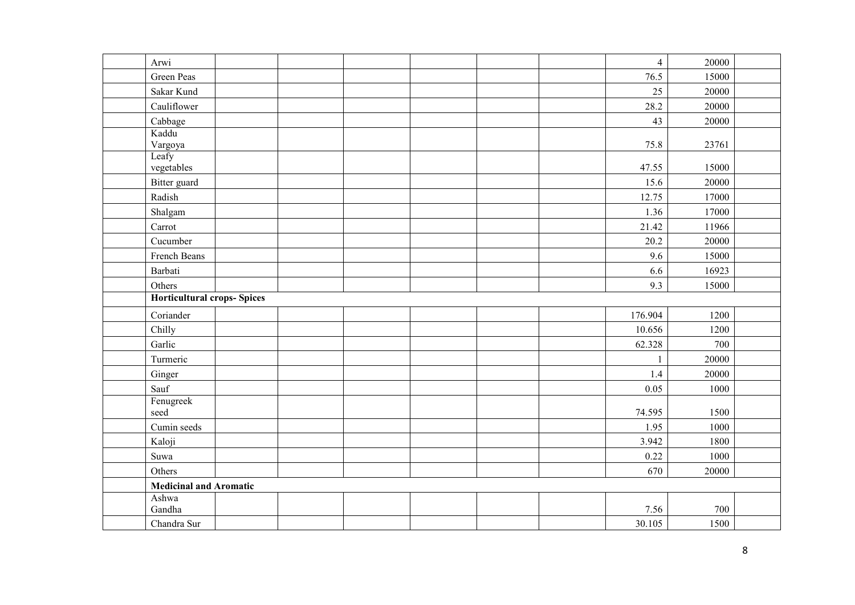| Arwi                               |  |  |  | $\overline{4}$ | 20000 |  |
|------------------------------------|--|--|--|----------------|-------|--|
| Green Peas                         |  |  |  | 76.5           | 15000 |  |
| Sakar Kund                         |  |  |  | 25             | 20000 |  |
| Cauliflower                        |  |  |  | 28.2           | 20000 |  |
| Cabbage                            |  |  |  | 43             | 20000 |  |
| Kaddu                              |  |  |  |                |       |  |
| Vargoya<br>Leafy                   |  |  |  | 75.8           | 23761 |  |
| vegetables                         |  |  |  | 47.55          | 15000 |  |
| Bitter guard                       |  |  |  | 15.6           | 20000 |  |
| Radish                             |  |  |  | 12.75          | 17000 |  |
| Shalgam                            |  |  |  | 1.36           | 17000 |  |
| Carrot                             |  |  |  | 21.42          | 11966 |  |
| Cucumber                           |  |  |  | 20.2           | 20000 |  |
| French Beans                       |  |  |  | 9.6            | 15000 |  |
| Barbati                            |  |  |  | 6.6            | 16923 |  |
| Others                             |  |  |  | 9.3            | 15000 |  |
| <b>Horticultural crops- Spices</b> |  |  |  |                |       |  |
| Coriander                          |  |  |  | 176.904        | 1200  |  |
| Chilly                             |  |  |  | 10.656         | 1200  |  |
| Garlic                             |  |  |  | 62.328         | 700   |  |
| Turmeric                           |  |  |  | $\mathbf{1}$   | 20000 |  |
| Ginger                             |  |  |  | 1.4            | 20000 |  |
| Sauf                               |  |  |  | 0.05           | 1000  |  |
| Fenugreek<br>seed                  |  |  |  | 74.595         | 1500  |  |
| Cumin seeds                        |  |  |  | 1.95           | 1000  |  |
| Kaloji                             |  |  |  | 3.942          | 1800  |  |
| Suwa                               |  |  |  | 0.22           | 1000  |  |
| Others                             |  |  |  | 670            | 20000 |  |
| <b>Medicinal and Aromatic</b>      |  |  |  |                |       |  |
| Ashwa                              |  |  |  |                |       |  |
| Gandha                             |  |  |  | 7.56           | 700   |  |
| Chandra Sur                        |  |  |  | 30.105         | 1500  |  |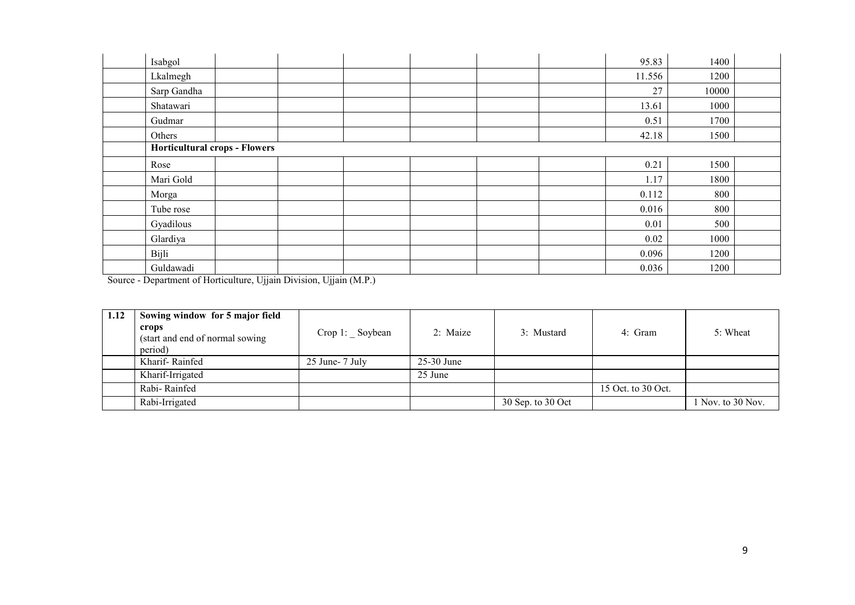| Isabgol                       | 95.83  | 1400  |  |  |  |  |
|-------------------------------|--------|-------|--|--|--|--|
| Lkalmegh                      | 11.556 | 1200  |  |  |  |  |
| Sarp Gandha                   | 27     | 10000 |  |  |  |  |
| Shatawari                     | 13.61  | 1000  |  |  |  |  |
| Gudmar                        | 0.51   | 1700  |  |  |  |  |
| Others                        | 42.18  | 1500  |  |  |  |  |
| Horticultural crops - Flowers |        |       |  |  |  |  |
| Rose                          | 0.21   | 1500  |  |  |  |  |
| Mari Gold                     | 1.17   | 1800  |  |  |  |  |
| Morga                         | 0.112  | 800   |  |  |  |  |
| Tube rose                     | 0.016  | 800   |  |  |  |  |
| Gyadilous                     | 0.01   | 500   |  |  |  |  |
| Glardiya                      | 0.02   | 1000  |  |  |  |  |
| Bijli                         | 0.096  | 1200  |  |  |  |  |
| Guldawadi                     | 0.036  | 1200  |  |  |  |  |

Source - Department of Horticulture, Ujjain Division, Ujjain (M.P.)

| 1.12 | Sowing window for 5 major field<br>crops<br>(start and end of normal sowing<br>period) | Crop 1: Soybean | 2: Maize   | 3: Mustard        | 4: Gram            | 5: Wheat          |
|------|----------------------------------------------------------------------------------------|-----------------|------------|-------------------|--------------------|-------------------|
|      | Kharif-Rainfed                                                                         | 25 June- 7 July | 25-30 June |                   |                    |                   |
|      | Kharif-Irrigated                                                                       |                 | 25 June    |                   |                    |                   |
|      | Rabi-Rainfed                                                                           |                 |            |                   | 15 Oct. to 30 Oct. |                   |
|      | Rabi-Irrigated                                                                         |                 |            | 30 Sep. to 30 Oct |                    | Nov. to $30$ Nov. |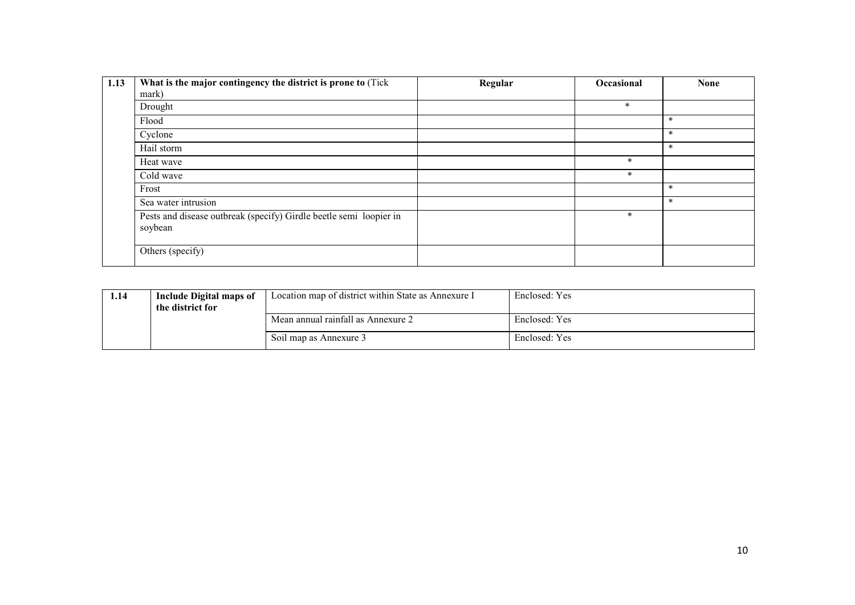| 1.13 | What is the major contingency the district is prone to (Tick                  | Regular | Occasional | <b>None</b> |
|------|-------------------------------------------------------------------------------|---------|------------|-------------|
|      | mark)                                                                         |         |            |             |
|      | Drought                                                                       |         | $\ast$     |             |
|      | Flood                                                                         |         |            | $\ast$      |
|      | Cyclone                                                                       |         |            | $\ast$      |
|      | Hail storm                                                                    |         |            | $\ast$      |
|      | Heat wave                                                                     |         | $\ast$     |             |
|      | Cold wave                                                                     |         | *          |             |
|      | Frost                                                                         |         |            | $\ast$      |
|      | Sea water intrusion                                                           |         |            | $\ast$      |
|      | Pests and disease outbreak (specify) Girdle beetle semi loopier in<br>soybean |         | $\ast$     |             |
|      | Others (specify)                                                              |         |            |             |

| 1.14 | <b>Include Digital maps of</b><br>the district for | Location map of district within State as Annexure I | Enclosed: Yes |
|------|----------------------------------------------------|-----------------------------------------------------|---------------|
|      |                                                    | Mean annual rainfall as Annexure 2                  | Enclosed: Yes |
|      |                                                    | Soil map as Annexure 3                              | Enclosed: Yes |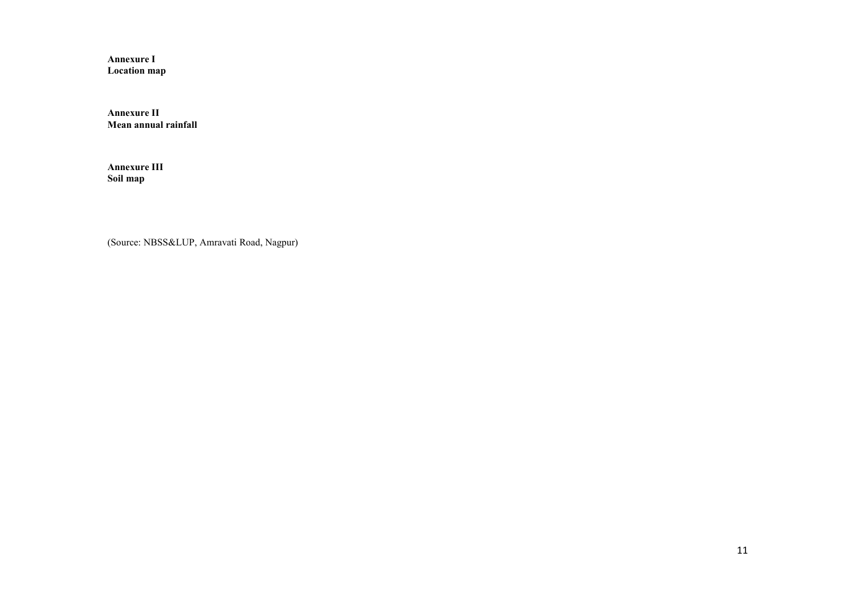Annexure I Location map

Annexure II Mean annual rainfall

Annexure III Soil map

(Source: NBSS&LUP, Amravati Road, Nagpur)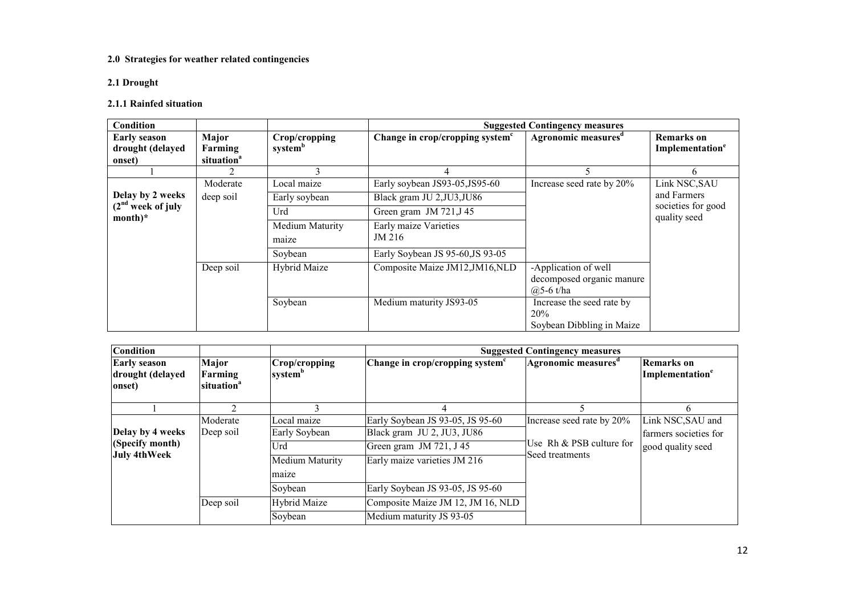#### 2.0 Strategies for weather related contingencies

2.1 Drought

#### 2.1.1 Rainfed situation

| <b>Condition</b>                                  |                                            |                          |                                             | <b>Suggested Contingency measures</b> |                                                  |
|---------------------------------------------------|--------------------------------------------|--------------------------|---------------------------------------------|---------------------------------------|--------------------------------------------------|
| <b>Early season</b><br>drought (delayed<br>onset) | Major<br>Farming<br>situation <sup>a</sup> | Crop/cropping<br>systemb | Change in crop/cropping system <sup>c</sup> | Agronomic measures <sup>d</sup>       | <b>Remarks</b> on<br>Implementation <sup>e</sup> |
|                                                   |                                            |                          |                                             |                                       | 6                                                |
|                                                   | Moderate                                   | Local maize              | Early soybean JS93-05, JS95-60              | Increase seed rate by 20%             | Link NSC, SAU                                    |
| Delay by 2 weeks                                  | deep soil                                  | Early soybean            | Black gram JU 2, JU3, JU86                  |                                       | and Farmers                                      |
| (2 <sup>nd</sup> week of july)<br>$month)*$       |                                            | Urd                      | Green gram JM 721, J 45                     |                                       | societies for good<br>quality seed               |
|                                                   |                                            | Medium Maturity<br>maize | Early maize Varieties<br>JM 216             |                                       |                                                  |
|                                                   |                                            | Soybean                  | Early Soybean JS 95-60, JS 93-05            |                                       |                                                  |
|                                                   | Deep soil                                  | Hybrid Maize             | Composite Maize JM12, JM16, NLD             | -Application of well                  |                                                  |
|                                                   |                                            |                          |                                             | decomposed organic manure             |                                                  |
|                                                   |                                            |                          |                                             | @.5-6 t/ha                            |                                                  |
|                                                   |                                            | Soybean                  | Medium maturity JS93-05                     | Increase the seed rate by             |                                                  |
|                                                   |                                            |                          |                                             | 20%<br>Soybean Dibbling in Maize      |                                                  |

| <b>Condition</b>                                           |                                            |                                                                 |                                                                                                                           | <b>Suggested Contingency measures</b>                                    |                                                                 |
|------------------------------------------------------------|--------------------------------------------|-----------------------------------------------------------------|---------------------------------------------------------------------------------------------------------------------------|--------------------------------------------------------------------------|-----------------------------------------------------------------|
| <b>Early season</b><br>drought (delayed<br>onset)          | Major<br>Farming<br>situation <sup>a</sup> | Crop/cropping<br>system <sup>b</sup>                            | Change in crop/cropping system <sup>c</sup>                                                                               | Agronomic measures <sup>a</sup>                                          | <b>Remarks</b> on<br>Implementation <sup>e</sup>                |
|                                                            |                                            |                                                                 | 4                                                                                                                         |                                                                          |                                                                 |
| Delay by 4 weeks<br>(Specify month)<br><b>July 4thWeek</b> | Moderate<br>Deep soil                      | Local maize<br>Early Soybean<br>Urd<br>Medium Maturity<br>maize | Early Soybean JS 93-05, JS 95-60<br>Black gram JU 2, JU3, JU86<br>Green gram JM 721, J 45<br>Early maize varieties JM 216 | Increase seed rate by 20%<br>Use Rh & PSB culture for<br>Seed treatments | Link NSC, SAU and<br>farmers societies for<br>good quality seed |
|                                                            | Deep soil                                  | Soybean<br>Hybrid Maize                                         | Early Soybean JS 93-05, JS 95-60<br>Composite Maize JM 12, JM 16, NLD                                                     |                                                                          |                                                                 |
|                                                            |                                            | Soybean                                                         | Medium maturity JS 93-05                                                                                                  |                                                                          |                                                                 |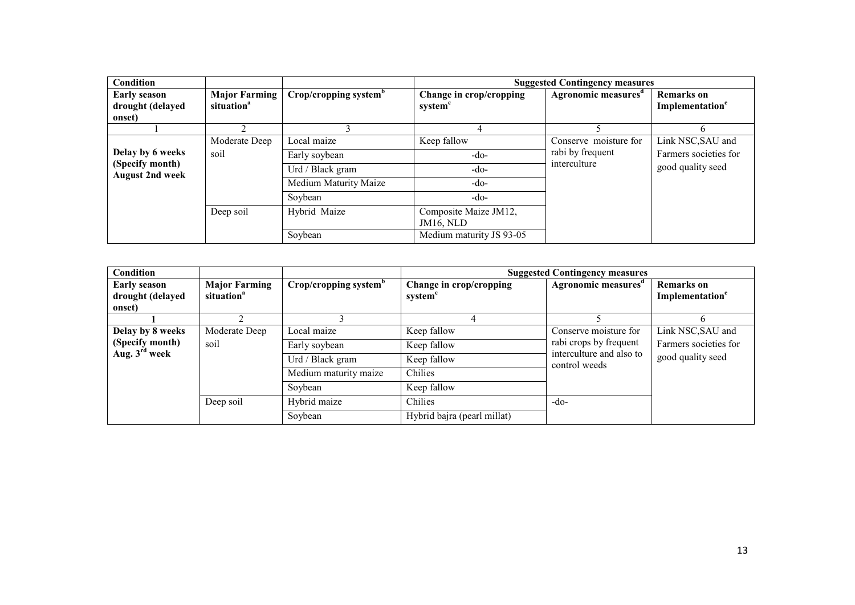| <b>Condition</b>                                              |                                                |                                                                                      |                                                                       | <b>Suggested Contingency measures</b>                     |                                                                 |
|---------------------------------------------------------------|------------------------------------------------|--------------------------------------------------------------------------------------|-----------------------------------------------------------------------|-----------------------------------------------------------|-----------------------------------------------------------------|
| <b>Early season</b><br>drought (delayed<br>onset)             | <b>Major Farming</b><br>situation <sup>a</sup> | Crop/cropping system <sup>b</sup>                                                    | Change in crop/cropping<br>system <sup>c</sup>                        | Agronomic measures <sup>d</sup>                           | <b>Remarks</b> on<br>Implementation <sup>e</sup>                |
|                                                               |                                                |                                                                                      |                                                                       |                                                           |                                                                 |
| Delay by 6 weeks<br>(Specify month)<br><b>August 2nd week</b> | Moderate Deep<br>soil                          | Local maize<br>Early soybean<br>Urd / Black gram<br>Medium Maturity Maize<br>Soybean | Keep fallow<br>-do-<br>$-do-$<br>$-do-$<br>$-do-$                     | Conserve moisture for<br>rabi by frequent<br>interculture | Link NSC, SAU and<br>Farmers societies for<br>good quality seed |
|                                                               | Deep soil                                      | Hybrid Maize<br>Soybean                                                              | Composite Maize JM12,<br><b>JM16, NLD</b><br>Medium maturity JS 93-05 |                                                           |                                                                 |

| Condition                                         |                                                |                                   |                                                | <b>Suggested Contingency measures</b>     |                                                  |
|---------------------------------------------------|------------------------------------------------|-----------------------------------|------------------------------------------------|-------------------------------------------|--------------------------------------------------|
| <b>Early season</b><br>drought (delayed<br>onset) | <b>Major Farming</b><br>situation <sup>a</sup> | Crop/cropping system <sup>b</sup> | Change in crop/cropping<br>system <sup>c</sup> | Agronomic measures <sup>d</sup>           | <b>Remarks</b> on<br>Implementation <sup>e</sup> |
|                                                   |                                                |                                   |                                                |                                           |                                                  |
| Delay by 8 weeks                                  | Moderate Deep                                  | Local maize                       | Keep fallow                                    | Conserve moisture for                     | Link NSC, SAU and                                |
| (Specify month)                                   | soil                                           | Early soybean                     | Keep fallow                                    | rabi crops by frequent                    | Farmers societies for                            |
| Aug. $3^{\text{rd}}$ week                         |                                                | Urd / Black gram                  | Keep fallow                                    | interculture and also to<br>control weeds | good quality seed                                |
|                                                   |                                                | Medium maturity maize             | Chilies                                        |                                           |                                                  |
|                                                   |                                                | Soybean                           | Keep fallow                                    |                                           |                                                  |
|                                                   | Deep soil                                      | Hybrid maize                      | Chilies                                        | -do-                                      |                                                  |
|                                                   |                                                | Soybean                           | Hybrid bajra (pearl millat)                    |                                           |                                                  |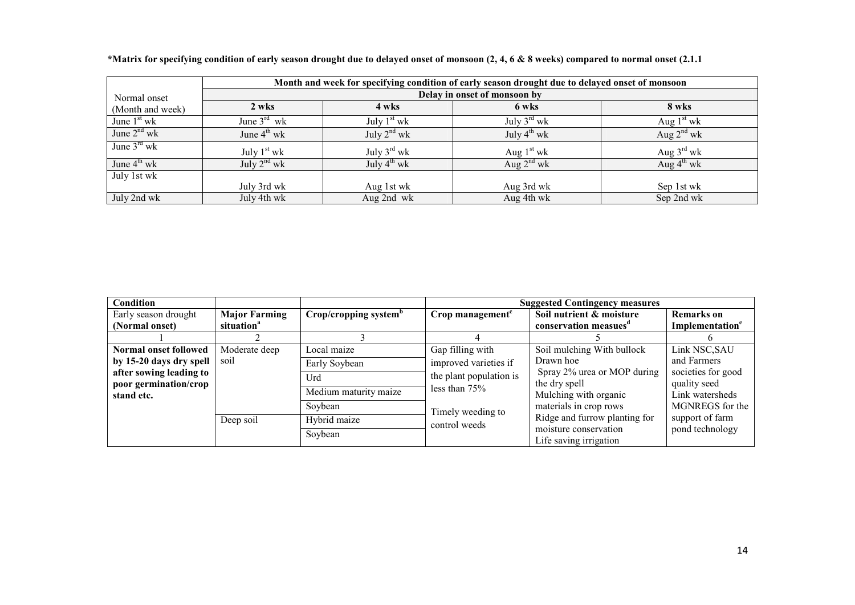|                                              |                         | Month and week for specifying condition of early season drought due to delayed onset of monsoon |                         |                        |  |  |  |  |  |
|----------------------------------------------|-------------------------|-------------------------------------------------------------------------------------------------|-------------------------|------------------------|--|--|--|--|--|
| Delay in onset of monsoon by<br>Normal onset |                         |                                                                                                 |                         |                        |  |  |  |  |  |
| (Month and week)                             | 2 wks                   | 4 wks                                                                                           | 6 wks                   | 8 wks                  |  |  |  |  |  |
| June $1st$ wk                                | June $3^{\text{rd}}$ wk | July $1st$ wk                                                                                   | July $3^{\text{rd}}$ wk | Aug $1st$ wk           |  |  |  |  |  |
| June $2^{nd}$ wk                             | June $4^{\text{th}}$ wk | July $2^{nd}$ wk                                                                                | July $4^{\text{th}}$ wk | Aug $2^{nd}$ wk        |  |  |  |  |  |
| June $3^{\text{rd}}$ wk                      | July $1st$ wk           | July $3^{\text{rd}}$ wk                                                                         | Aug $1st$ wk            | Aug $3^{\text{rd}}$ wk |  |  |  |  |  |
| June $4^{\text{th}}$ wk                      | July $2^{nd}$ wk        | July $4^{th}$ wk                                                                                | Aug $2^{nd}$ wk         | Aug $4^{th}$ wk        |  |  |  |  |  |
| July 1st wk                                  |                         |                                                                                                 |                         |                        |  |  |  |  |  |
|                                              | July 3rd wk             | Aug 1st wk                                                                                      | Aug 3rd wk              | Sep 1st wk             |  |  |  |  |  |
| July 2nd wk                                  | July 4th wk             | Aug 2nd wk                                                                                      | Aug 4th wk              | Sep 2nd wk             |  |  |  |  |  |

|  |  |  | *Matrix for specifying condition of early season drought due to delayed onset of monsoon (2, 4, 6 & 8 weeks) compared to normal onset (2.1.1 |  |
|--|--|--|----------------------------------------------------------------------------------------------------------------------------------------------|--|
|  |  |  |                                                                                                                                              |  |

| <b>Condition</b>        |                        |                                   |                         | <b>Suggested Contingency measures</b>           |                             |
|-------------------------|------------------------|-----------------------------------|-------------------------|-------------------------------------------------|-----------------------------|
| Early season drought    | <b>Major Farming</b>   | Crop/cropping system <sup>b</sup> | Crop management $c$     | Soil nutrient & moisture                        | <b>Remarks</b> on           |
| (Normal onset)          | situation <sup>a</sup> |                                   |                         | conservation measues <sup>a</sup>               | Implementation <sup>e</sup> |
|                         |                        |                                   |                         |                                                 |                             |
| Normal onset followed   | Moderate deep          | Local maize                       | Gap filling with        | Soil mulching With bullock                      | Link NSC, SAU               |
| by 15-20 days dry spell | soil                   | Early Soybean                     | improved varieties if   | Drawn hoe                                       | and Farmers                 |
| after sowing leading to |                        | Urd                               | the plant population is | Spray 2% urea or MOP during                     | societies for good          |
| poor germination/crop   |                        | Medium maturity maize             | less than $75%$         | the dry spell                                   | quality seed                |
| stand etc.              |                        |                                   |                         | Mulching with organic                           | Link watersheds             |
|                         |                        | Soybean                           | Timely weeding to       | materials in crop rows                          | MGNREGS for the             |
|                         | Deep soil              | Hybrid maize                      | control weeds           | Ridge and furrow planting for                   | support of farm             |
|                         |                        | Soybean                           |                         | moisture conservation<br>Life saving irrigation | pond technology             |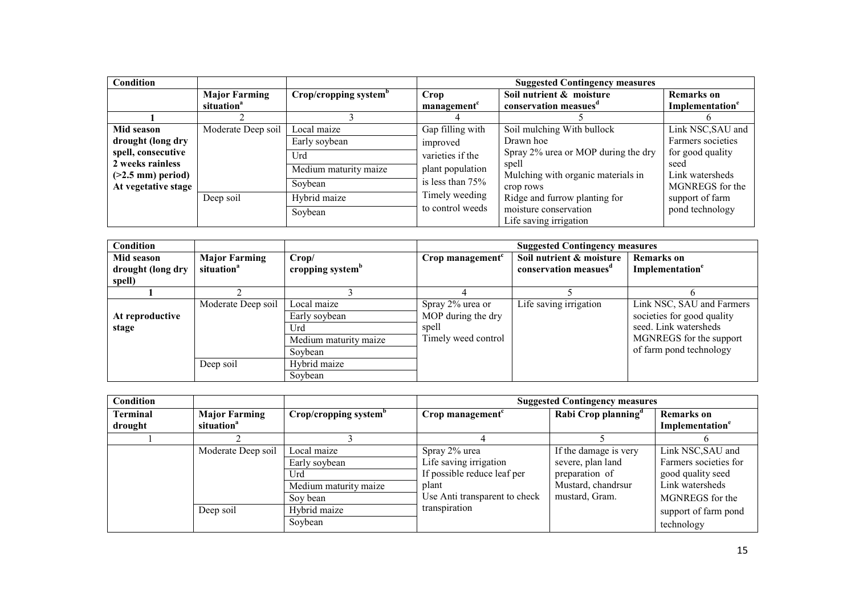| Condition                                                                                                                |                                                |                                                                         | <b>Suggested Contingency measures</b>                                                                                            |                                                                                                                                                                                                                                |                                                                                                                                                |  |
|--------------------------------------------------------------------------------------------------------------------------|------------------------------------------------|-------------------------------------------------------------------------|----------------------------------------------------------------------------------------------------------------------------------|--------------------------------------------------------------------------------------------------------------------------------------------------------------------------------------------------------------------------------|------------------------------------------------------------------------------------------------------------------------------------------------|--|
|                                                                                                                          | <b>Major Farming</b><br>situation <sup>a</sup> | Crop/cropping system <sup>b</sup>                                       | Crop<br>management <sup>c</sup>                                                                                                  | Soil nutrient & moisture<br>conservation measues <sup>a</sup>                                                                                                                                                                  | <b>Remarks</b> on<br>Implementation <sup>e</sup>                                                                                               |  |
|                                                                                                                          |                                                |                                                                         |                                                                                                                                  |                                                                                                                                                                                                                                |                                                                                                                                                |  |
| Mid season<br>drought (long dry<br>spell, consecutive<br>2 weeks rainless<br>$($ >2.5 mm) period)<br>At vegetative stage | Moderate Deep soil                             | Local maize<br>Early soybean<br>Urd<br>Medium maturity maize<br>Soybean | Gap filling with<br>improved<br>varieties if the<br>plant population<br>is less than $75%$<br>Timely weeding<br>to control weeds | Soil mulching With bullock<br>Drawn hoe<br>Spray 2% urea or MOP during the dry<br>spell<br>Mulching with organic materials in<br>crop rows<br>Ridge and furrow planting for<br>moisture conservation<br>Life saving irrigation | Link NSC, SAU and<br>Farmers societies<br>for good quality<br>seed<br>Link watersheds<br>MGNREGS for the<br>support of farm<br>pond technology |  |
|                                                                                                                          | Deep soil                                      | Hybrid maize<br>Soybean                                                 |                                                                                                                                  |                                                                                                                                                                                                                                |                                                                                                                                                |  |

| Condition                                 |                                                |                                                                         | <b>Suggested Contingency measures</b>                                  |                                                               |                                                                                                                                        |  |
|-------------------------------------------|------------------------------------------------|-------------------------------------------------------------------------|------------------------------------------------------------------------|---------------------------------------------------------------|----------------------------------------------------------------------------------------------------------------------------------------|--|
| Mid season<br>drought (long dry<br>spell) | <b>Major Farming</b><br>situation <sup>a</sup> | Crop/<br>cropping system <sup>b</sup>                                   | Crop management                                                        | Soil nutrient & moisture<br>conservation measues <sup>a</sup> | <b>Remarks</b> on<br>Implementation <sup>e</sup>                                                                                       |  |
|                                           |                                                |                                                                         |                                                                        |                                                               |                                                                                                                                        |  |
| At reproductive<br>stage                  | Moderate Deep soil                             | Local maize<br>Early soybean<br>Urd<br>Medium maturity maize<br>Soybean | Spray 2% urea or<br>MOP during the dry<br>spell<br>Timely weed control | Life saving irrigation                                        | Link NSC, SAU and Farmers<br>societies for good quality<br>seed. Link watersheds<br>MGNREGS for the support<br>of farm pond technology |  |
|                                           | Deep soil                                      | Hybrid maize<br>Soybean                                                 |                                                                        |                                                               |                                                                                                                                        |  |

| Condition                  |                                                |                                                                          |                                                                                                                  | <b>Suggested Contingency measures</b>                                                                |                                                                                                       |
|----------------------------|------------------------------------------------|--------------------------------------------------------------------------|------------------------------------------------------------------------------------------------------------------|------------------------------------------------------------------------------------------------------|-------------------------------------------------------------------------------------------------------|
| <b>Terminal</b><br>drought | <b>Major Farming</b><br>situation <sup>a</sup> | Crop/cropping system <sup>b</sup>                                        | Crop management <sup>c</sup>                                                                                     | Rabi Crop planning <sup>d</sup>                                                                      | <b>Remarks</b> on<br>Implementation <sup>e</sup>                                                      |
|                            |                                                |                                                                          |                                                                                                                  |                                                                                                      |                                                                                                       |
|                            | Moderate Deep soil                             | Local maize<br>Early soybean<br>Urd<br>Medium maturity maize<br>Soy bean | Spray 2% urea<br>Life saving irrigation<br>If possible reduce leaf per<br>plant<br>Use Anti transparent to check | If the damage is very<br>severe, plan land<br>preparation of<br>Mustard, chandrsur<br>mustard, Gram. | Link NSC, SAU and<br>Farmers societies for<br>good quality seed<br>Link watersheds<br>MGNREGS for the |
|                            | Deep soil                                      | Hybrid maize<br>Soybean                                                  | transpiration                                                                                                    |                                                                                                      | support of farm pond<br>technology                                                                    |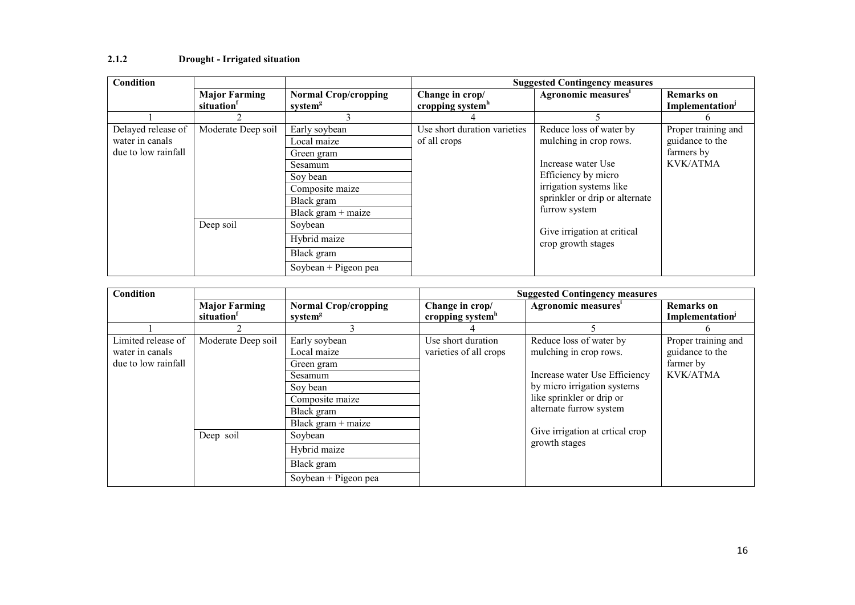### 2.1.2 Drought - Irrigated situation

| <b>Condition</b>    |                        |                             |                              | <b>Suggested Contingency measures</b>             |                             |
|---------------------|------------------------|-----------------------------|------------------------------|---------------------------------------------------|-----------------------------|
|                     | <b>Major Farming</b>   | <b>Normal Crop/cropping</b> | Change in crop/              | Agronomic measures'                               | <b>Remarks</b> on           |
|                     | situation <sup>1</sup> | system <sup>g</sup>         | cropping system <sup>h</sup> |                                                   | Implementation <sup>J</sup> |
|                     |                        |                             |                              |                                                   |                             |
| Delayed release of  | Moderate Deep soil     | Early soybean               | Use short duration varieties | Reduce loss of water by                           | Proper training and         |
| water in canals     |                        | Local maize                 | of all crops                 | mulching in crop rows.                            | guidance to the             |
| due to low rainfall |                        | Green gram                  |                              |                                                   | farmers by                  |
|                     |                        | Sesamum                     |                              | Increase water Use                                | <b>KVK/ATMA</b>             |
|                     |                        | Soy bean                    |                              | Efficiency by micro                               |                             |
|                     |                        | Composite maize             |                              | irrigation systems like                           |                             |
|                     |                        | Black gram                  |                              | sprinkler or drip or alternate                    |                             |
|                     |                        | Black gram $+$ maize        |                              | furrow system                                     |                             |
|                     | Deep soil              | Soybean                     |                              |                                                   |                             |
|                     |                        | Hybrid maize                |                              | Give irrigation at critical<br>crop growth stages |                             |
|                     |                        | Black gram                  |                              |                                                   |                             |
|                     |                        | Soybean + Pigeon pea        |                              |                                                   |                             |

| Condition           |                      |                             |                              | <b>Suggested Contingency measures</b> |                             |
|---------------------|----------------------|-----------------------------|------------------------------|---------------------------------------|-----------------------------|
|                     | <b>Major Farming</b> | <b>Normal Crop/cropping</b> | Change in crop/              | Agronomic measures <sup>i</sup>       | <b>Remarks</b> on           |
|                     | situation            | system <sup>g</sup>         | cropping system <sup>h</sup> |                                       | Implementation <sup>J</sup> |
|                     |                      |                             |                              |                                       |                             |
| Limited release of  | Moderate Deep soil   | Early soybean               | Use short duration           | Reduce loss of water by               | Proper training and         |
| water in canals     |                      | Local maize                 | varieties of all crops       | mulching in crop rows.                | guidance to the             |
| due to low rainfall |                      | Green gram                  |                              |                                       | farmer by                   |
|                     |                      | Sesamum                     |                              | Increase water Use Efficiency         | <b>KVK/ATMA</b>             |
|                     |                      | Soy bean                    |                              | by micro irrigation systems           |                             |
|                     |                      | Composite maize             |                              | like sprinkler or drip or             |                             |
|                     |                      | Black gram                  |                              | alternate furrow system               |                             |
|                     |                      | Black gram + maize          |                              |                                       |                             |
|                     | Deep soil            | Soybean                     |                              | Give irrigation at crtical crop       |                             |
|                     |                      | Hybrid maize                |                              | growth stages                         |                             |
|                     |                      | Black gram                  |                              |                                       |                             |
|                     |                      | Soybean + Pigeon pea        |                              |                                       |                             |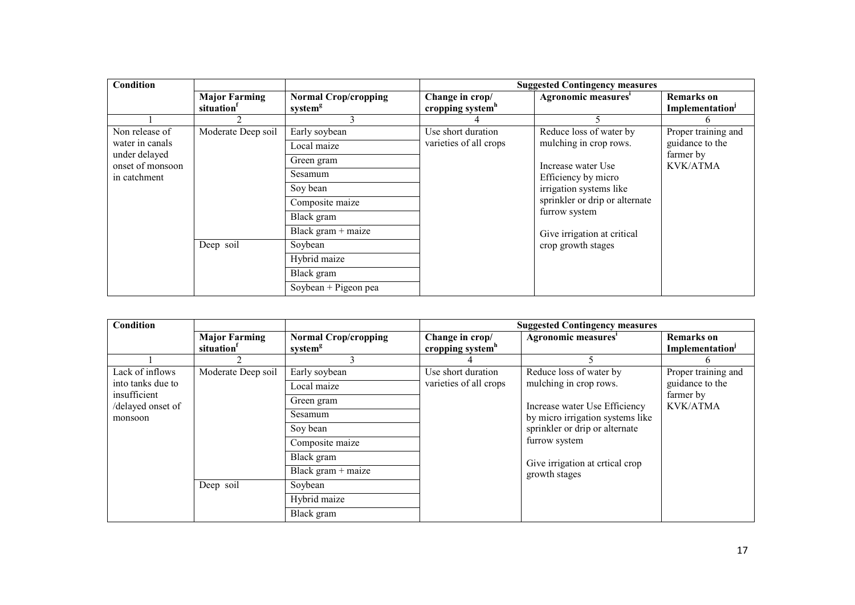| Condition                        |                                                |                                                    |                                                 | <b>Suggested Contingency measures</b>     |                                     |
|----------------------------------|------------------------------------------------|----------------------------------------------------|-------------------------------------------------|-------------------------------------------|-------------------------------------|
|                                  | <b>Major Farming</b><br>situation <sup>1</sup> | <b>Normal Crop/cropping</b><br>system <sup>g</sup> | Change in crop/<br>cropping system <sup>h</sup> | Agronomic measures <sup>i</sup>           | <b>Remarks</b> on<br>Implementation |
|                                  |                                                |                                                    |                                                 |                                           |                                     |
| Non release of                   | Moderate Deep soil                             | Early soybean                                      | Use short duration                              | Reduce loss of water by                   | Proper training and                 |
| water in canals                  |                                                | Local maize                                        | varieties of all crops                          | mulching in crop rows.                    | guidance to the                     |
| under delayed                    |                                                | Green gram                                         |                                                 |                                           | farmer by                           |
| onset of monsoon<br>in catchment |                                                | Sesamum                                            |                                                 | Increase water Use<br>Efficiency by micro | <b>KVK/ATMA</b>                     |
|                                  |                                                | Soy bean                                           |                                                 | irrigation systems like                   |                                     |
|                                  |                                                | Composite maize                                    |                                                 | sprinkler or drip or alternate            |                                     |
|                                  |                                                | Black gram                                         |                                                 | furrow system                             |                                     |
|                                  |                                                | Black gram + maize                                 |                                                 | Give irrigation at critical               |                                     |
|                                  | Deep soil                                      | Soybean                                            |                                                 | crop growth stages                        |                                     |
|                                  |                                                | Hybrid maize                                       |                                                 |                                           |                                     |
|                                  |                                                | Black gram                                         |                                                 |                                           |                                     |
|                                  |                                                | Soybean + Pigeon pea                               |                                                 |                                           |                                     |

| <b>Condition</b>                                                  |                                   |                                                    |                                                 | <b>Suggested Contingency measures</b>                                                                                                                                                              |                                                  |
|-------------------------------------------------------------------|-----------------------------------|----------------------------------------------------|-------------------------------------------------|----------------------------------------------------------------------------------------------------------------------------------------------------------------------------------------------------|--------------------------------------------------|
|                                                                   | <b>Major Farming</b><br>situation | <b>Normal Crop/cropping</b><br>system <sup>g</sup> | Change in crop/<br>cropping system <sup>h</sup> | Agronomic measures'                                                                                                                                                                                | <b>Remarks</b> on<br>Implementation <sup>J</sup> |
|                                                                   |                                   |                                                    |                                                 |                                                                                                                                                                                                    |                                                  |
| Lack of inflows                                                   | Moderate Deep soil                | Early soybean                                      | Use short duration                              | Reduce loss of water by                                                                                                                                                                            | Proper training and                              |
| into tanks due to<br>insufficient<br>/delayed onset of<br>monsoon |                                   | Local maize                                        | varieties of all crops                          | mulching in crop rows.<br>Increase water Use Efficiency<br>by micro irrigation systems like<br>sprinkler or drip or alternate<br>furrow system<br>Give irrigation at crtical crop<br>growth stages | guidance to the                                  |
|                                                                   |                                   | Green gram                                         |                                                 |                                                                                                                                                                                                    | farmer by                                        |
|                                                                   |                                   | Sesamum                                            |                                                 |                                                                                                                                                                                                    | <b>KVK/ATMA</b>                                  |
|                                                                   |                                   | Soy bean                                           |                                                 |                                                                                                                                                                                                    |                                                  |
|                                                                   |                                   | Composite maize                                    |                                                 |                                                                                                                                                                                                    |                                                  |
|                                                                   |                                   | Black gram                                         |                                                 |                                                                                                                                                                                                    |                                                  |
|                                                                   |                                   | Black gram $+$ maize                               |                                                 |                                                                                                                                                                                                    |                                                  |
|                                                                   | Deep soil                         | Soybean                                            |                                                 |                                                                                                                                                                                                    |                                                  |
|                                                                   |                                   | Hybrid maize                                       |                                                 |                                                                                                                                                                                                    |                                                  |
|                                                                   |                                   | Black gram                                         |                                                 |                                                                                                                                                                                                    |                                                  |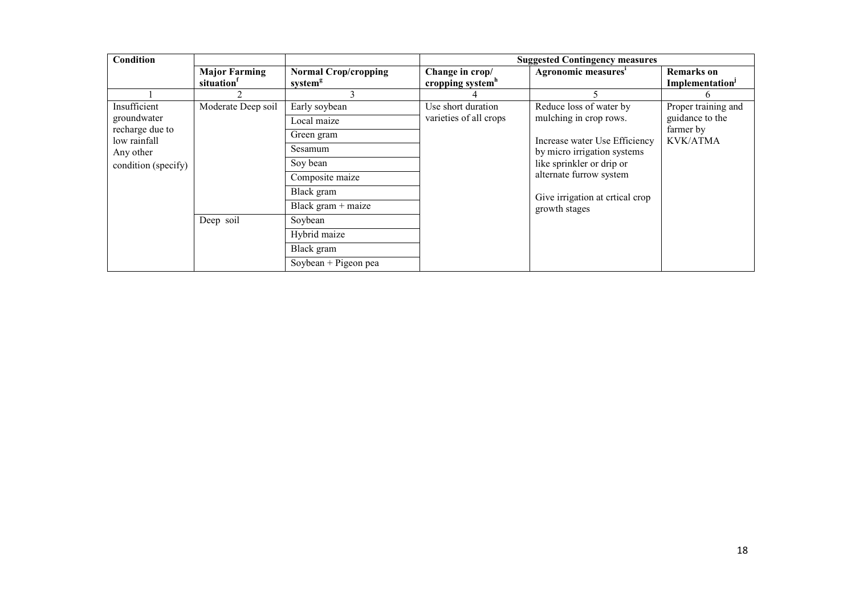| <b>Condition</b>          |                      |                             |                              | <b>Suggested Contingency measures</b>                        |                     |
|---------------------------|----------------------|-----------------------------|------------------------------|--------------------------------------------------------------|---------------------|
|                           | <b>Major Farming</b> | <b>Normal Crop/cropping</b> | Change in crop/              | Agronomic measures <sup>i</sup>                              | <b>Remarks</b> on   |
|                           | situation            | system <sup>g</sup>         | cropping system <sup>h</sup> |                                                              | Implementation      |
|                           |                      |                             |                              |                                                              | 6                   |
| Insufficient              | Moderate Deep soil   | Early soybean               | Use short duration           | Reduce loss of water by                                      | Proper training and |
| groundwater               |                      | Local maize                 | varieties of all crops       | mulching in crop rows.                                       | guidance to the     |
| recharge due to           |                      | Green gram                  |                              |                                                              | farmer by           |
| low rainfall<br>Any other |                      | Sesamum                     |                              | Increase water Use Efficiency<br>by micro irrigation systems | <b>KVK/ATMA</b>     |
| condition (specify)       |                      | Soy bean                    |                              | like sprinkler or drip or                                    |                     |
|                           |                      | Composite maize             |                              | alternate furrow system                                      |                     |
|                           |                      | Black gram                  |                              | Give irrigation at crtical crop                              |                     |
|                           |                      | Black gram + maize          |                              | growth stages                                                |                     |
|                           | Deep soil            | Soybean                     |                              |                                                              |                     |
|                           |                      | Hybrid maize                |                              |                                                              |                     |
|                           |                      | Black gram                  |                              |                                                              |                     |
|                           |                      | Soybean + Pigeon pea        |                              |                                                              |                     |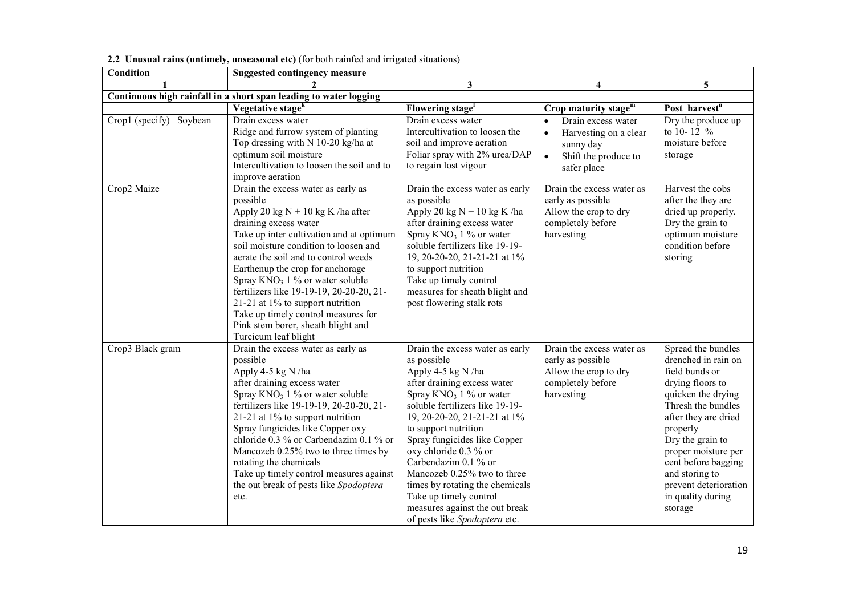| <b>Condition</b>        | <b>Suggested contingency measure</b>                                                                                                                                                                                                                                                                                                                                                                                                                                                                       |                                                                                                                                                                                                                                                                                                                                                                                                                                                                             |                                                                                                              |                                                                                                                                                                                                                                                                                                              |  |  |
|-------------------------|------------------------------------------------------------------------------------------------------------------------------------------------------------------------------------------------------------------------------------------------------------------------------------------------------------------------------------------------------------------------------------------------------------------------------------------------------------------------------------------------------------|-----------------------------------------------------------------------------------------------------------------------------------------------------------------------------------------------------------------------------------------------------------------------------------------------------------------------------------------------------------------------------------------------------------------------------------------------------------------------------|--------------------------------------------------------------------------------------------------------------|--------------------------------------------------------------------------------------------------------------------------------------------------------------------------------------------------------------------------------------------------------------------------------------------------------------|--|--|
|                         |                                                                                                                                                                                                                                                                                                                                                                                                                                                                                                            | 3                                                                                                                                                                                                                                                                                                                                                                                                                                                                           |                                                                                                              | 5                                                                                                                                                                                                                                                                                                            |  |  |
|                         | Continuous high rainfall in a short span leading to water logging                                                                                                                                                                                                                                                                                                                                                                                                                                          |                                                                                                                                                                                                                                                                                                                                                                                                                                                                             |                                                                                                              |                                                                                                                                                                                                                                                                                                              |  |  |
|                         | Vegetative stage <sup>k</sup>                                                                                                                                                                                                                                                                                                                                                                                                                                                                              | Flowering stage <sup>1</sup>                                                                                                                                                                                                                                                                                                                                                                                                                                                | Crop maturity stage <sup>m</sup>                                                                             | Post harvest <sup>n</sup>                                                                                                                                                                                                                                                                                    |  |  |
| Crop1 (specify) Soybean | Drain excess water<br>Ridge and furrow system of planting<br>Top dressing with N 10-20 kg/ha at<br>optimum soil moisture<br>Intercultivation to loosen the soil and to<br>improve aeration                                                                                                                                                                                                                                                                                                                 | Drain excess water<br>Intercultivation to loosen the<br>soil and improve aeration<br>Foliar spray with 2% urea/DAP<br>to regain lost vigour                                                                                                                                                                                                                                                                                                                                 | Drain excess water<br>Harvesting on a clear<br>sunny day<br>$\bullet$<br>Shift the produce to<br>safer place | Dry the produce up<br>to 10-12 %<br>moisture before<br>storage                                                                                                                                                                                                                                               |  |  |
| Crop2 Maize             | Drain the excess water as early as<br>possible<br>Apply 20 kg $N + 10$ kg K /ha after<br>draining excess water<br>Take up inter cultivation and at optimum<br>soil moisture condition to loosen and<br>aerate the soil and to control weeds<br>Earthenup the crop for anchorage<br>Spray $KNO_3$ 1 % or water soluble<br>fertilizers like 19-19-19, 20-20-20, 21-<br>21-21 at 1% to support nutrition<br>Take up timely control measures for<br>Pink stem borer, sheath blight and<br>Turcicum leaf blight | Drain the excess water as early<br>as possible<br>Apply 20 kg $N + 10$ kg K /ha<br>after draining excess water<br>Spray $KNO_3$ 1 % or water<br>soluble fertilizers like 19-19-<br>19, 20-20-20, 21-21-21 at 1%<br>to support nutrition<br>Take up timely control<br>measures for sheath blight and<br>post flowering stalk rots                                                                                                                                            | Drain the excess water as<br>early as possible<br>Allow the crop to dry<br>completely before<br>harvesting   | Harvest the cobs<br>after the they are<br>dried up properly.<br>Dry the grain to<br>optimum moisture<br>condition before<br>storing                                                                                                                                                                          |  |  |
| Crop3 Black gram        | Drain the excess water as early as<br>possible<br>Apply 4-5 kg N/ha<br>after draining excess water<br>Spray $KNO_3$ 1 % or water soluble<br>fertilizers like 19-19-19, 20-20-20, 21-<br>21-21 at 1% to support nutrition<br>Spray fungicides like Copper oxy<br>chloride 0.3 % or Carbendazim 0.1 % or<br>Mancozeb 0.25% two to three times by<br>rotating the chemicals<br>Take up timely control measures against<br>the out break of pests like Spodoptera<br>etc.                                      | Drain the excess water as early<br>as possible<br>Apply 4-5 kg N/ha<br>after draining excess water<br>Spray $KNO_3$ 1 % or water<br>soluble fertilizers like 19-19-<br>19, 20-20-20, 21-21-21 at 1%<br>to support nutrition<br>Spray fungicides like Copper<br>oxy chloride 0.3 % or<br>Carbendazim 0.1 % or<br>Mancozeb 0.25% two to three<br>times by rotating the chemicals<br>Take up timely control<br>measures against the out break<br>of pests like Spodoptera etc. | Drain the excess water as<br>early as possible<br>Allow the crop to dry<br>completely before<br>harvesting   | Spread the bundles<br>drenched in rain on<br>field bunds or<br>drying floors to<br>quicken the drying<br>Thresh the bundles<br>after they are dried<br>properly<br>Dry the grain to<br>proper moisture per<br>cent before bagging<br>and storing to<br>prevent deterioration<br>in quality during<br>storage |  |  |

2.2 Unusual rains (untimely, unseasonal etc) (for both rainfed and irrigated situations)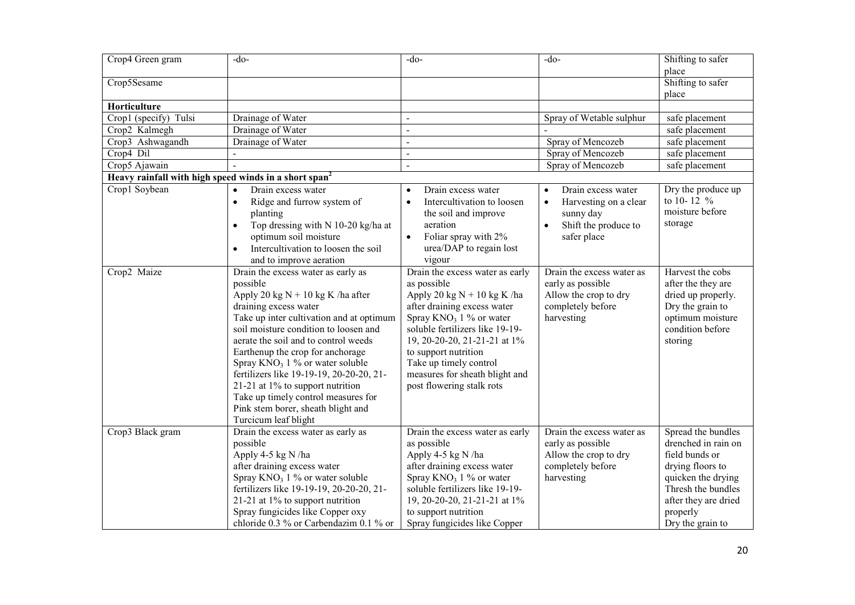| Crop4 Green gram                                                  | $-do-$                                                                                                                                                                                                                                                                                                                                                                                                                                       | $-do-$                                                                                                                                                                                                                                                                                                                           | $-do-$                                                                                                     | Shifting to safer                                                                                                                   |
|-------------------------------------------------------------------|----------------------------------------------------------------------------------------------------------------------------------------------------------------------------------------------------------------------------------------------------------------------------------------------------------------------------------------------------------------------------------------------------------------------------------------------|----------------------------------------------------------------------------------------------------------------------------------------------------------------------------------------------------------------------------------------------------------------------------------------------------------------------------------|------------------------------------------------------------------------------------------------------------|-------------------------------------------------------------------------------------------------------------------------------------|
|                                                                   |                                                                                                                                                                                                                                                                                                                                                                                                                                              |                                                                                                                                                                                                                                                                                                                                  |                                                                                                            | place                                                                                                                               |
| Crop5Sesame                                                       |                                                                                                                                                                                                                                                                                                                                                                                                                                              |                                                                                                                                                                                                                                                                                                                                  |                                                                                                            | Shifting to safer                                                                                                                   |
|                                                                   |                                                                                                                                                                                                                                                                                                                                                                                                                                              |                                                                                                                                                                                                                                                                                                                                  |                                                                                                            | place                                                                                                                               |
| Horticulture                                                      |                                                                                                                                                                                                                                                                                                                                                                                                                                              |                                                                                                                                                                                                                                                                                                                                  |                                                                                                            |                                                                                                                                     |
| Crop1 (specify) Tulsi                                             | Drainage of Water                                                                                                                                                                                                                                                                                                                                                                                                                            | $\overline{a}$                                                                                                                                                                                                                                                                                                                   | Spray of Wetable sulphur                                                                                   | safe placement                                                                                                                      |
| Crop2 Kalmegh                                                     | Drainage of Water                                                                                                                                                                                                                                                                                                                                                                                                                            | $\blacksquare$                                                                                                                                                                                                                                                                                                                   |                                                                                                            | safe placement                                                                                                                      |
| Crop3 Ashwagandh                                                  | Drainage of Water                                                                                                                                                                                                                                                                                                                                                                                                                            |                                                                                                                                                                                                                                                                                                                                  | Spray of Mencozeb                                                                                          | safe placement                                                                                                                      |
| Crop4 Dil                                                         |                                                                                                                                                                                                                                                                                                                                                                                                                                              |                                                                                                                                                                                                                                                                                                                                  | Spray of Mencozeb                                                                                          | safe placement                                                                                                                      |
| Crop5 Ajawain                                                     |                                                                                                                                                                                                                                                                                                                                                                                                                                              | $\overline{a}$                                                                                                                                                                                                                                                                                                                   | Spray of Mencozeb                                                                                          | safe placement                                                                                                                      |
| Heavy rainfall with high speed winds in a short span <sup>2</sup> |                                                                                                                                                                                                                                                                                                                                                                                                                                              |                                                                                                                                                                                                                                                                                                                                  |                                                                                                            |                                                                                                                                     |
| Crop1 Soybean                                                     | Drain excess water<br>$\bullet$<br>Ridge and furrow system of<br>$\bullet$                                                                                                                                                                                                                                                                                                                                                                   | Drain excess water<br>$\bullet$<br>Intercultivation to loosen<br>$\bullet$                                                                                                                                                                                                                                                       | Drain excess water<br>Harvesting on a clear<br>$\bullet$                                                   | Dry the produce up<br>to 10-12 %                                                                                                    |
|                                                                   | planting                                                                                                                                                                                                                                                                                                                                                                                                                                     | the soil and improve                                                                                                                                                                                                                                                                                                             | sunny day                                                                                                  | moisture before                                                                                                                     |
|                                                                   | Top dressing with N 10-20 kg/ha at<br>$\bullet$                                                                                                                                                                                                                                                                                                                                                                                              | aeration                                                                                                                                                                                                                                                                                                                         | Shift the produce to                                                                                       | storage                                                                                                                             |
|                                                                   | optimum soil moisture                                                                                                                                                                                                                                                                                                                                                                                                                        | Foliar spray with 2%                                                                                                                                                                                                                                                                                                             | safer place                                                                                                |                                                                                                                                     |
|                                                                   | Intercultivation to loosen the soil<br>$\bullet$                                                                                                                                                                                                                                                                                                                                                                                             | urea/DAP to regain lost                                                                                                                                                                                                                                                                                                          |                                                                                                            |                                                                                                                                     |
|                                                                   | and to improve aeration                                                                                                                                                                                                                                                                                                                                                                                                                      | vigour                                                                                                                                                                                                                                                                                                                           |                                                                                                            |                                                                                                                                     |
| Crop2 Maize                                                       | Drain the excess water as early as<br>possible<br>Apply 20 kg $N + 10$ kg K /ha after<br>draining excess water<br>Take up inter cultivation and at optimum<br>soil moisture condition to loosen and<br>aerate the soil and to control weeds<br>Earthenup the crop for anchorage<br>Spray $KNO_3$ 1 % or water soluble<br>fertilizers like 19-19-19, 20-20-20, 21-<br>21-21 at 1% to support nutrition<br>Take up timely control measures for | Drain the excess water as early<br>as possible<br>Apply 20 kg $N + 10$ kg K /ha<br>after draining excess water<br>Spray $KNO_3$ 1 % or water<br>soluble fertilizers like 19-19-<br>19, 20-20-20, 21-21-21 at 1%<br>to support nutrition<br>Take up timely control<br>measures for sheath blight and<br>post flowering stalk rots | Drain the excess water as<br>early as possible<br>Allow the crop to dry<br>completely before<br>harvesting | Harvest the cobs<br>after the they are<br>dried up properly.<br>Dry the grain to<br>optimum moisture<br>condition before<br>storing |
|                                                                   | Pink stem borer, sheath blight and                                                                                                                                                                                                                                                                                                                                                                                                           |                                                                                                                                                                                                                                                                                                                                  |                                                                                                            |                                                                                                                                     |
|                                                                   | Turcicum leaf blight                                                                                                                                                                                                                                                                                                                                                                                                                         |                                                                                                                                                                                                                                                                                                                                  |                                                                                                            |                                                                                                                                     |
| Crop3 Black gram                                                  | Drain the excess water as early as<br>possible                                                                                                                                                                                                                                                                                                                                                                                               | Drain the excess water as early<br>as possible                                                                                                                                                                                                                                                                                   | Drain the excess water as<br>early as possible                                                             | Spread the bundles<br>drenched in rain on                                                                                           |
|                                                                   | Apply 4-5 kg N /ha                                                                                                                                                                                                                                                                                                                                                                                                                           | Apply 4-5 kg N /ha                                                                                                                                                                                                                                                                                                               | Allow the crop to dry                                                                                      | field bunds or                                                                                                                      |
|                                                                   | after draining excess water                                                                                                                                                                                                                                                                                                                                                                                                                  | after draining excess water                                                                                                                                                                                                                                                                                                      | completely before                                                                                          | drying floors to                                                                                                                    |
|                                                                   | Spray KNO <sub>3</sub> 1 % or water soluble                                                                                                                                                                                                                                                                                                                                                                                                  | Spray $KNO_3$ 1 % or water                                                                                                                                                                                                                                                                                                       | harvesting                                                                                                 | quicken the drying                                                                                                                  |
|                                                                   | fertilizers like 19-19-19, 20-20-20, 21-                                                                                                                                                                                                                                                                                                                                                                                                     | soluble fertilizers like 19-19-                                                                                                                                                                                                                                                                                                  |                                                                                                            | Thresh the bundles                                                                                                                  |
|                                                                   | 21-21 at 1% to support nutrition                                                                                                                                                                                                                                                                                                                                                                                                             | 19, 20-20-20, 21-21-21 at 1%                                                                                                                                                                                                                                                                                                     |                                                                                                            | after they are dried                                                                                                                |
|                                                                   | Spray fungicides like Copper oxy                                                                                                                                                                                                                                                                                                                                                                                                             | to support nutrition                                                                                                                                                                                                                                                                                                             |                                                                                                            | properly                                                                                                                            |
|                                                                   | chloride 0.3 % or Carbendazim 0.1 % or                                                                                                                                                                                                                                                                                                                                                                                                       | Spray fungicides like Copper                                                                                                                                                                                                                                                                                                     |                                                                                                            | Dry the grain to                                                                                                                    |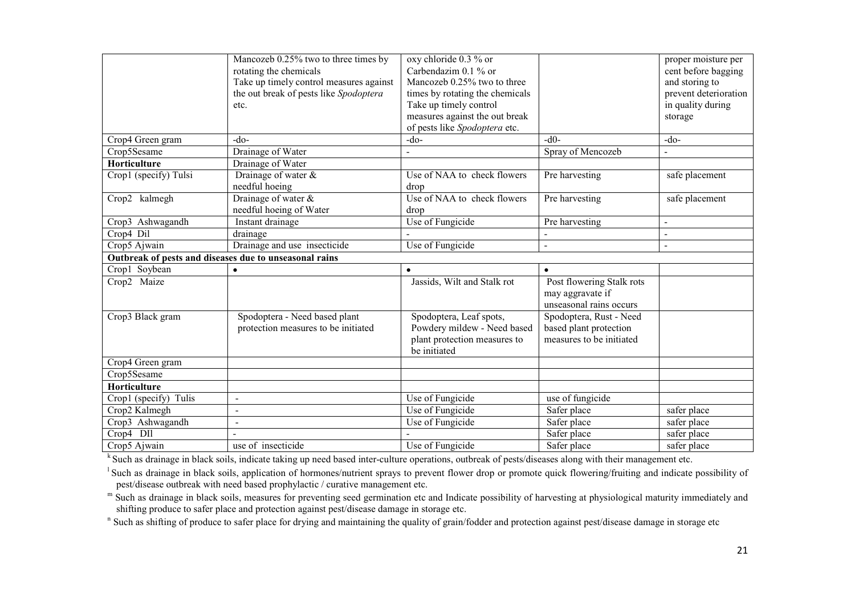|                                                        | Mancozeb 0.25% two to three times by<br>rotating the chemicals<br>Take up timely control measures against | oxy chloride 0.3 % or<br>Carbendazim 0.1 % or<br>Mancozeb 0.25% two to three                           |                                                                               | proper moisture per<br>cent before bagging<br>and storing to |
|--------------------------------------------------------|-----------------------------------------------------------------------------------------------------------|--------------------------------------------------------------------------------------------------------|-------------------------------------------------------------------------------|--------------------------------------------------------------|
|                                                        | the out break of pests like Spodoptera                                                                    | times by rotating the chemicals                                                                        |                                                                               | prevent deterioration                                        |
|                                                        | etc.                                                                                                      | Take up timely control                                                                                 |                                                                               | in quality during                                            |
|                                                        |                                                                                                           | measures against the out break                                                                         |                                                                               | storage                                                      |
|                                                        | $-do-$                                                                                                    | of pests like Spodoptera etc.<br>$-do-$                                                                | $-d0-$                                                                        | $-do-$                                                       |
| Crop4 Green gram                                       |                                                                                                           |                                                                                                        |                                                                               | $\overline{a}$                                               |
| Crop5Sesame                                            | Drainage of Water                                                                                         |                                                                                                        | Spray of Mencozeb                                                             |                                                              |
| Horticulture                                           | Drainage of Water                                                                                         |                                                                                                        |                                                                               |                                                              |
| Crop1 (specify) Tulsi                                  | Drainage of water $\&$                                                                                    | Use of NAA to check flowers                                                                            | Pre harvesting                                                                | safe placement                                               |
| Crop2 kalmegh                                          | needful hoeing<br>Drainage of water $\&$                                                                  | drop<br>Use of NAA to check flowers                                                                    | Pre harvesting                                                                | safe placement                                               |
|                                                        | needful hoeing of Water                                                                                   | drop                                                                                                   |                                                                               |                                                              |
|                                                        |                                                                                                           | Use of Fungicide                                                                                       | Pre harvesting                                                                | $\overline{\phantom{a}}$                                     |
| Crop3 Ashwagandh<br>Crop4 Dil                          | Instant drainage<br>drainage                                                                              |                                                                                                        |                                                                               |                                                              |
|                                                        | Drainage and use insecticide                                                                              | Use of Fungicide                                                                                       | $\overline{a}$                                                                | $\sim$<br>$\sim$                                             |
| Crop5 Ajwain                                           |                                                                                                           |                                                                                                        |                                                                               |                                                              |
| Outbreak of pests and diseases due to unseasonal rains |                                                                                                           |                                                                                                        |                                                                               |                                                              |
| Crop1 Soybean                                          |                                                                                                           | $\bullet$                                                                                              | $\bullet$                                                                     |                                                              |
| Crop2 Maize                                            |                                                                                                           | Jassids, Wilt and Stalk rot                                                                            | Post flowering Stalk rots<br>may aggravate if<br>unseasonal rains occurs      |                                                              |
| Crop3 Black gram                                       | Spodoptera - Need based plant<br>protection measures to be initiated                                      | Spodoptera, Leaf spots,<br>Powdery mildew - Need based<br>plant protection measures to<br>be initiated | Spodoptera, Rust - Need<br>based plant protection<br>measures to be initiated |                                                              |
| Crop4 Green gram                                       |                                                                                                           |                                                                                                        |                                                                               |                                                              |
| Crop5Sesame                                            |                                                                                                           |                                                                                                        |                                                                               |                                                              |
| Horticulture                                           |                                                                                                           |                                                                                                        |                                                                               |                                                              |
| Crop1 (specify) Tulis                                  | $\overline{a}$                                                                                            | Use of Fungicide                                                                                       | use of fungicide                                                              |                                                              |
| Crop2 Kalmegh                                          | $\overline{\phantom{a}}$                                                                                  | Use of Fungicide                                                                                       | Safer place                                                                   | safer place                                                  |
| Crop3 Ashwagandh                                       | $\blacksquare$                                                                                            | Use of Fungicide                                                                                       | Safer place                                                                   | safer place                                                  |
| Crop4 DII                                              |                                                                                                           |                                                                                                        | Safer place                                                                   | safer place                                                  |
| Crop5 Ajwain                                           | use of insecticide                                                                                        | Use of Fungicide                                                                                       | Safer place                                                                   | safer place                                                  |

k Such as drainage in black soils, indicate taking up need based inter-culture operations, outbreak of pests/diseases along with their management etc.

<sup>1</sup> Such as drainage in black soils, application of hormones/nutrient sprays to prevent flower drop or promote quick flowering/fruiting and indicate possibility of pest/disease outbreak with need based prophylactic / curative management etc.

m Such as drainage in black soils, measures for preventing seed germination etc and Indicate possibility of harvesting at physiological maturity immediately and shifting produce to safer place and protection against pest/disease damage in storage etc.

<sup>n</sup> Such as shifting of produce to safer place for drying and maintaining the quality of grain/fodder and protection against pest/disease damage in storage etc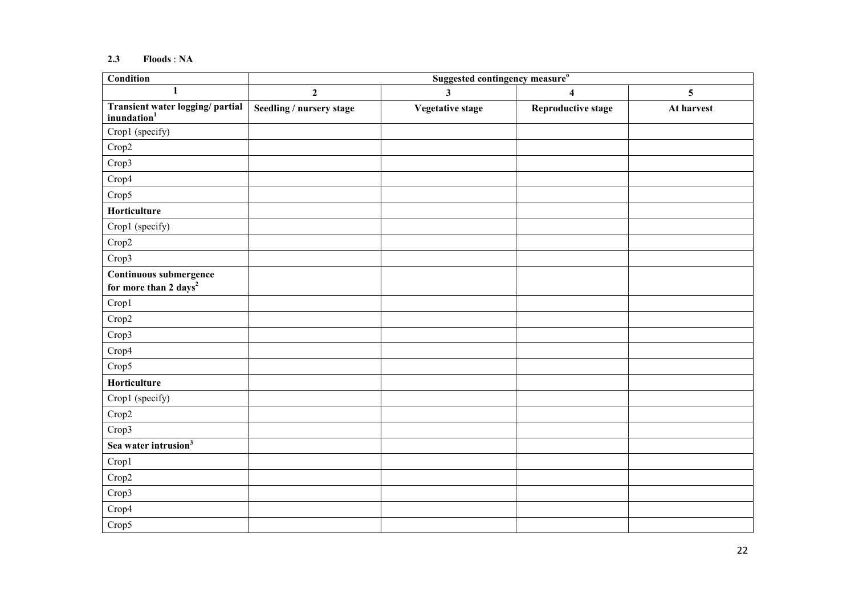### 2.3 Floods : NA

| <b>Condition</b>                                   | Suggested contingency measure <sup>o</sup> |                         |                           |            |  |
|----------------------------------------------------|--------------------------------------------|-------------------------|---------------------------|------------|--|
| $\mathbf{1}$                                       | $\overline{2}$                             | $\mathbf{3}$            | $\overline{\mathbf{4}}$   | 5          |  |
| Transient water logging/ partial<br>inundation $1$ | Seedling / nursery stage                   | <b>Vegetative stage</b> | <b>Reproductive stage</b> | At harvest |  |
| Crop1 (specify)                                    |                                            |                         |                           |            |  |
| Crop2                                              |                                            |                         |                           |            |  |
| Crop3                                              |                                            |                         |                           |            |  |
| Crop4                                              |                                            |                         |                           |            |  |
| Crop5                                              |                                            |                         |                           |            |  |
| Horticulture                                       |                                            |                         |                           |            |  |
| Crop1 (specify)                                    |                                            |                         |                           |            |  |
| Crop2                                              |                                            |                         |                           |            |  |
| Crop3                                              |                                            |                         |                           |            |  |
| Continuous submergence                             |                                            |                         |                           |            |  |
| for more than 2 days <sup>2</sup>                  |                                            |                         |                           |            |  |
| Crop1                                              |                                            |                         |                           |            |  |
| Crop2                                              |                                            |                         |                           |            |  |
| Crop3                                              |                                            |                         |                           |            |  |
| Crop4                                              |                                            |                         |                           |            |  |
| Crop5                                              |                                            |                         |                           |            |  |
| Horticulture                                       |                                            |                         |                           |            |  |
| Crop1 (specify)                                    |                                            |                         |                           |            |  |
| Crop2                                              |                                            |                         |                           |            |  |
| Crop3                                              |                                            |                         |                           |            |  |
| Sea water intrusion <sup>3</sup>                   |                                            |                         |                           |            |  |
| Crop1                                              |                                            |                         |                           |            |  |
| Crop2                                              |                                            |                         |                           |            |  |
| Crop3                                              |                                            |                         |                           |            |  |
| Crop4                                              |                                            |                         |                           |            |  |
| Crop5                                              |                                            |                         |                           |            |  |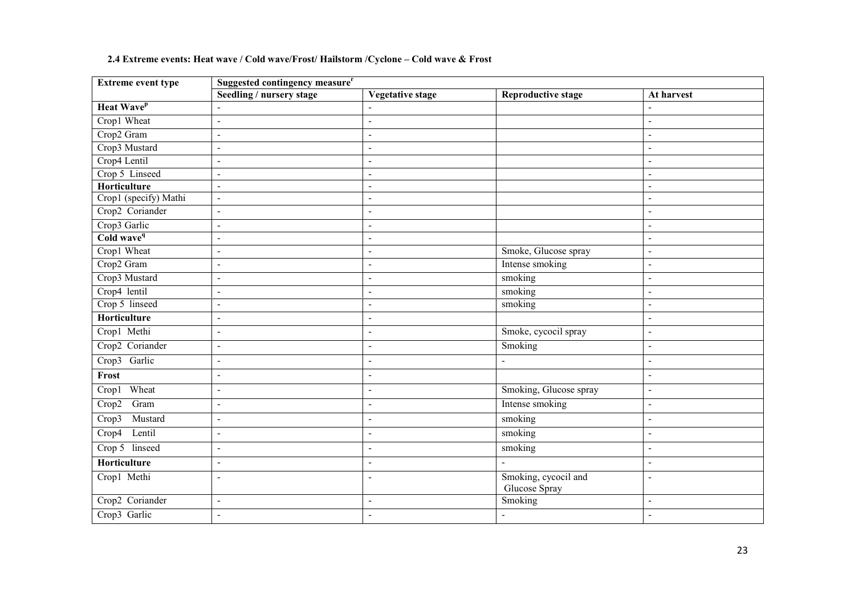| <b>Extreme event type</b> | Suggested contingency measure <sup>r</sup> |                         |                           |                          |  |
|---------------------------|--------------------------------------------|-------------------------|---------------------------|--------------------------|--|
|                           | Seedling / nursery stage                   | <b>Vegetative stage</b> | <b>Reproductive stage</b> | At harvest               |  |
| Heat Wave <sup>p</sup>    |                                            |                         |                           |                          |  |
| Crop1 Wheat               | $\blacksquare$                             | $\blacksquare$          |                           | $\sim$                   |  |
| Crop2 Gram                | $\blacksquare$                             | $\sim$                  |                           | $\blacksquare$           |  |
| Crop3 Mustard             | $\blacksquare$                             | $\blacksquare$          |                           | $\blacksquare$           |  |
| Crop4 Lentil              | $\blacksquare$                             | $\blacksquare$          |                           | $\sim$                   |  |
| Crop 5 Linseed            | $\blacksquare$                             | $\sim$                  |                           | $\sim$                   |  |
| Horticulture              | $\blacksquare$                             | $\blacksquare$          |                           | $\blacksquare$           |  |
| Crop1 (specify) Mathi     | $\mathbf{r}$                               | $\sim$                  |                           | $\sim$                   |  |
| Crop2 Coriander           | $\blacksquare$                             | $\sim$                  |                           | $\sim$                   |  |
| Crop3 Garlic              | $\blacksquare$                             | $\sim$                  |                           | $\blacksquare$           |  |
| Cold wave <sup>q</sup>    | $\blacksquare$                             | $\sim$                  |                           | $\blacksquare$           |  |
| Crop1 Wheat               | $\blacksquare$                             | $\sim$                  | Smoke, Glucose spray      | $\blacksquare$           |  |
| Crop2 Gram                | $\blacksquare$                             | $\sim$                  | Intense smoking           | $\overline{\phantom{a}}$ |  |
| Crop3 Mustard             | $\overline{a}$                             | $\sim$                  | smoking                   | $\sim$                   |  |
| Crop4 lentil              | $\blacksquare$                             | $\blacksquare$          | smoking                   | $\blacksquare$           |  |
| Crop 5 linseed            | $\overline{\phantom{a}}$                   | $\sim$                  | smoking                   | $\blacksquare$           |  |
| Horticulture              | $\blacksquare$                             | $\blacksquare$          |                           | $\sim$                   |  |
| Crop1 Methi               | $\blacksquare$                             | $\sim$                  | Smoke, cycocil spray      | $\sim$                   |  |
| Crop2 Coriander           | $\blacksquare$                             | $\blacksquare$          | Smoking                   | $\blacksquare$           |  |
| Crop3 Garlic              | $\blacksquare$                             | $\blacksquare$          | $\overline{\phantom{a}}$  | $\blacksquare$           |  |
| Frost                     | $\blacksquare$                             | $\sim$                  |                           | $\blacksquare$           |  |
| Wheat<br>Crop1            | $\blacksquare$                             | $\blacksquare$          | Smoking, Glucose spray    | $\sim$                   |  |
| Crop2<br>Gram             | $\blacksquare$                             | $\sim$                  | Intense smoking           | $\blacksquare$           |  |
| Crop3<br>Mustard          | $\blacksquare$                             | $\blacksquare$          | smoking                   | $\sim$                   |  |
| Crop4 Lentil              | $\blacksquare$                             | $\sim$                  | smoking                   | $\overline{\phantom{a}}$ |  |
| Crop 5 linseed            | $\blacksquare$                             | $\blacksquare$          | smoking                   | $\sim$                   |  |
| Horticulture              | $\blacksquare$                             | $\blacksquare$          |                           | $\blacksquare$           |  |
| Crop1 Methi               | $\blacksquare$                             | $\sim$                  | Smoking, cycocil and      | $\sim$                   |  |
|                           |                                            |                         | Glucose Spray             |                          |  |
| Crop2 Coriander           | $\blacksquare$                             | $\blacksquare$          | Smoking                   | $\blacksquare$           |  |
| Crop3 Garlic              | $\blacksquare$                             | $\blacksquare$          | $\blacksquare$            | $\blacksquare$           |  |

#### 2.4 Extreme events: Heat wave / Cold wave/Frost/ Hailstorm /Cyclone – Cold wave & Frost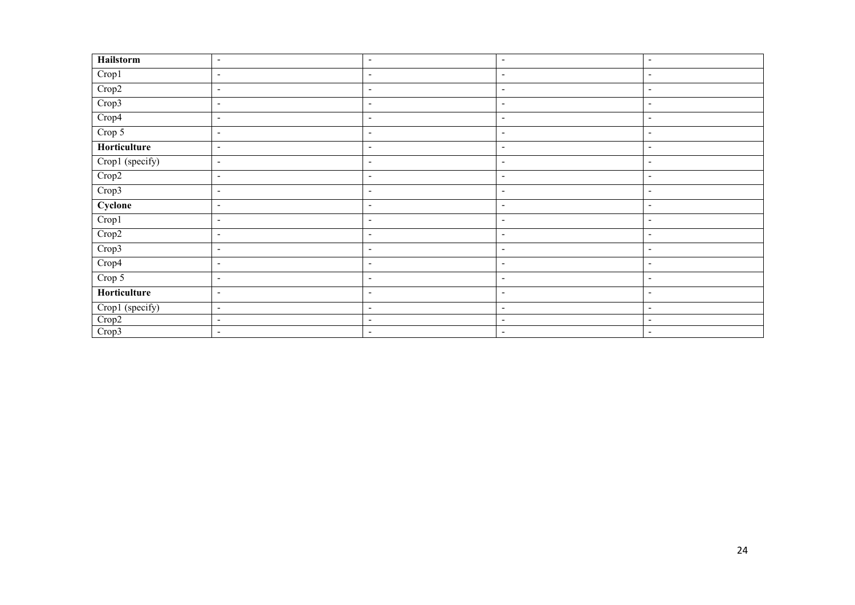| Hailstorm       | $\overline{\phantom{a}}$ | $\overline{\phantom{a}}$ | $\overline{\phantom{a}}$ | $\overline{\phantom{a}}$ |
|-----------------|--------------------------|--------------------------|--------------------------|--------------------------|
| Crop1           | $\overline{\phantom{a}}$ | $\blacksquare$           | $\overline{\phantom{a}}$ | $\overline{\phantom{a}}$ |
| Crop2           | $\overline{\phantom{a}}$ | $\overline{\phantom{a}}$ | $\blacksquare$           | $\blacksquare$           |
| Crop3           | $\blacksquare$           | $\overline{\phantom{a}}$ | $\blacksquare$           | $\sim$                   |
| Crop4           | $\overline{\phantom{a}}$ | $\blacksquare$           | $\blacksquare$           | $\blacksquare$           |
| Crop 5          | $\blacksquare$           | $\overline{\phantom{a}}$ | $\blacksquare$           | $\blacksquare$           |
| Horticulture    | $\overline{\phantom{a}}$ | $\blacksquare$           | $\blacksquare$           | $\overline{\phantom{a}}$ |
| Crop1 (specify) | $\blacksquare$           | $\overline{\phantom{a}}$ | $\overline{\phantom{a}}$ | $\overline{\phantom{a}}$ |
| Crop2           | $\overline{\phantom{a}}$ | $\overline{\phantom{a}}$ | $\overline{\phantom{a}}$ | $\blacksquare$           |
| Crop3           | $\overline{\phantom{a}}$ | $\blacksquare$           | $\overline{\phantom{a}}$ | $\overline{\phantom{a}}$ |
| Cyclone         | $\overline{\phantom{a}}$ | $\blacksquare$           | $\overline{\phantom{a}}$ | $\overline{\phantom{a}}$ |
| Crop1           | $\overline{\phantom{a}}$ | $\blacksquare$           | $\overline{\phantom{a}}$ | $\blacksquare$           |
| Crop2           | $\blacksquare$           | $\blacksquare$           | $\overline{\phantom{a}}$ | $\overline{\phantom{a}}$ |
| Crop3           | $\blacksquare$           | $\overline{\phantom{a}}$ | $\blacksquare$           | $\blacksquare$           |
| Crop4           | $\blacksquare$           | $\overline{\phantom{a}}$ | $\blacksquare$           | $\blacksquare$           |
| Crop 5          | $\overline{\phantom{a}}$ | $\overline{\phantom{a}}$ | $\overline{\phantom{a}}$ | $\blacksquare$           |
| Horticulture    | $\overline{\phantom{a}}$ | $\overline{\phantom{a}}$ | $\overline{\phantom{a}}$ | $\blacksquare$           |
| Crop1 (specify) | $\blacksquare$           | $\blacksquare$           | $\blacksquare$           | $\sim$                   |
| Crop2           | $\overline{\phantom{a}}$ | $\blacksquare$           | $\overline{\phantom{a}}$ | $\sim$                   |
| Crop3           | $\blacksquare$           | $\overline{\phantom{a}}$ | $\blacksquare$           | $\blacksquare$           |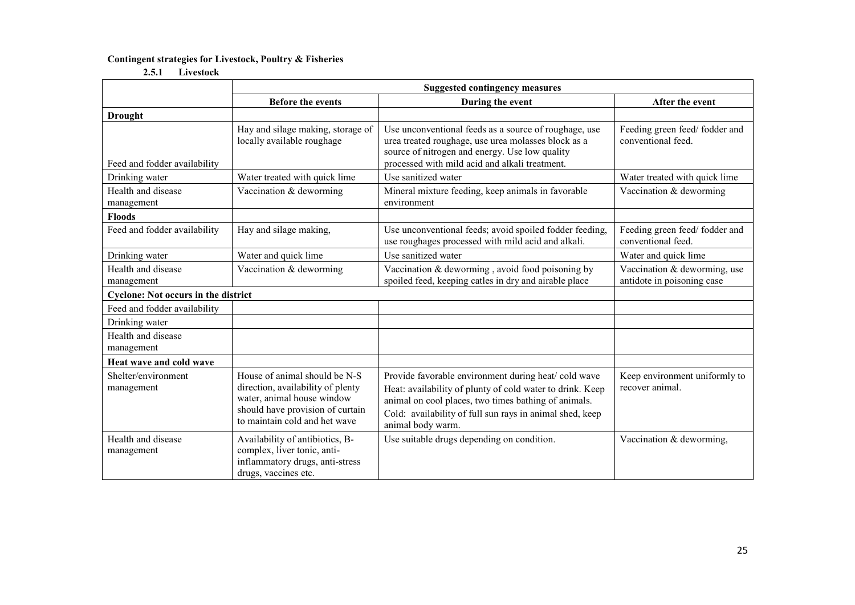#### Contingent strategies for Livestock, Poultry & Fisheries

2.5.1 Livestock

|                                            | <b>Suggested contingency measures</b>                                                                                                                                 |                                                                                                                                                                                                                                                            |                                                            |
|--------------------------------------------|-----------------------------------------------------------------------------------------------------------------------------------------------------------------------|------------------------------------------------------------------------------------------------------------------------------------------------------------------------------------------------------------------------------------------------------------|------------------------------------------------------------|
|                                            | <b>Before the events</b>                                                                                                                                              | During the event                                                                                                                                                                                                                                           | After the event                                            |
| <b>Drought</b>                             |                                                                                                                                                                       |                                                                                                                                                                                                                                                            |                                                            |
| Feed and fodder availability               | Hay and silage making, storage of<br>locally available roughage                                                                                                       | Use unconventional feeds as a source of roughage, use<br>urea treated roughage, use urea molasses block as a<br>source of nitrogen and energy. Use low quality<br>processed with mild acid and alkali treatment.                                           | Feeding green feed/fodder and<br>conventional feed.        |
| Drinking water                             | Water treated with quick lime                                                                                                                                         | Use sanitized water                                                                                                                                                                                                                                        | Water treated with quick lime                              |
| Health and disease<br>management           | Vaccination & deworming                                                                                                                                               | Mineral mixture feeding, keep animals in favorable<br>environment                                                                                                                                                                                          | Vaccination & deworming                                    |
| <b>Floods</b>                              |                                                                                                                                                                       |                                                                                                                                                                                                                                                            |                                                            |
| Feed and fodder availability               | Hay and silage making,                                                                                                                                                | Use unconventional feeds; avoid spoiled fodder feeding,<br>use roughages processed with mild acid and alkali.                                                                                                                                              | Feeding green feed/fodder and<br>conventional feed.        |
| Drinking water                             | Water and quick lime                                                                                                                                                  | Use sanitized water                                                                                                                                                                                                                                        | Water and quick lime                                       |
| Health and disease<br>management           | Vaccination & deworming                                                                                                                                               | Vaccination & deworming, avoid food poisoning by<br>spoiled feed, keeping catles in dry and airable place                                                                                                                                                  | Vaccination & deworming, use<br>antidote in poisoning case |
| <b>Cyclone: Not occurs in the district</b> |                                                                                                                                                                       |                                                                                                                                                                                                                                                            |                                                            |
| Feed and fodder availability               |                                                                                                                                                                       |                                                                                                                                                                                                                                                            |                                                            |
| Drinking water                             |                                                                                                                                                                       |                                                                                                                                                                                                                                                            |                                                            |
| Health and disease                         |                                                                                                                                                                       |                                                                                                                                                                                                                                                            |                                                            |
| management                                 |                                                                                                                                                                       |                                                                                                                                                                                                                                                            |                                                            |
| Heat wave and cold wave                    |                                                                                                                                                                       |                                                                                                                                                                                                                                                            |                                                            |
| Shelter/environment<br>management          | House of animal should be N-S<br>direction, availability of plenty<br>water, animal house window<br>should have provision of curtain<br>to maintain cold and het wave | Provide favorable environment during heat/ cold wave<br>Heat: availability of plunty of cold water to drink. Keep<br>animal on cool places, two times bathing of animals.<br>Cold: availability of full sun rays in animal shed, keep<br>animal body warm. | Keep environment uniformly to<br>recover animal.           |
| Health and disease<br>management           | Availability of antibiotics, B-<br>complex, liver tonic, anti-<br>inflammatory drugs, anti-stress<br>drugs, vaccines etc.                                             | Use suitable drugs depending on condition.                                                                                                                                                                                                                 | Vaccination & deworming,                                   |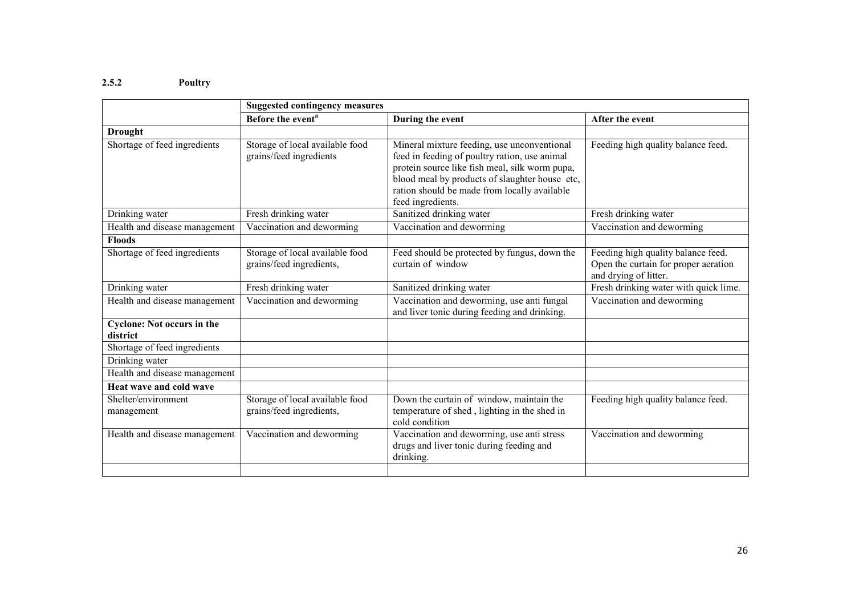#### 2.5.2Poultry

|                                               | <b>Suggested contingency measures</b>                       |                                                                                                                                                                                                                                                                       |                                                                                                     |  |
|-----------------------------------------------|-------------------------------------------------------------|-----------------------------------------------------------------------------------------------------------------------------------------------------------------------------------------------------------------------------------------------------------------------|-----------------------------------------------------------------------------------------------------|--|
|                                               | Before the event <sup>a</sup>                               | During the event                                                                                                                                                                                                                                                      | After the event                                                                                     |  |
| <b>Drought</b>                                |                                                             |                                                                                                                                                                                                                                                                       |                                                                                                     |  |
| Shortage of feed ingredients                  | Storage of local available food<br>grains/feed ingredients  | Mineral mixture feeding, use unconventional<br>feed in feeding of poultry ration, use animal<br>protein source like fish meal, silk worm pupa,<br>blood meal by products of slaughter house etc,<br>ration should be made from locally available<br>feed ingredients. | Feeding high quality balance feed.                                                                  |  |
| Drinking water                                | Fresh drinking water                                        | Sanitized drinking water                                                                                                                                                                                                                                              | Fresh drinking water                                                                                |  |
| Health and disease management                 | Vaccination and deworming                                   | Vaccination and deworming                                                                                                                                                                                                                                             | Vaccination and deworming                                                                           |  |
| <b>Floods</b>                                 |                                                             |                                                                                                                                                                                                                                                                       |                                                                                                     |  |
| Shortage of feed ingredients                  | Storage of local available food<br>grains/feed ingredients, | Feed should be protected by fungus, down the<br>curtain of window                                                                                                                                                                                                     | Feeding high quality balance feed.<br>Open the curtain for proper aeration<br>and drying of litter. |  |
| Drinking water                                | Fresh drinking water                                        | Sanitized drinking water                                                                                                                                                                                                                                              | Fresh drinking water with quick lime.                                                               |  |
| Health and disease management                 | Vaccination and deworming                                   | Vaccination and deworming, use anti fungal<br>and liver tonic during feeding and drinking.                                                                                                                                                                            | Vaccination and deworming                                                                           |  |
| <b>Cyclone: Not occurs in the</b><br>district |                                                             |                                                                                                                                                                                                                                                                       |                                                                                                     |  |
| Shortage of feed ingredients                  |                                                             |                                                                                                                                                                                                                                                                       |                                                                                                     |  |
| Drinking water                                |                                                             |                                                                                                                                                                                                                                                                       |                                                                                                     |  |
| Health and disease management                 |                                                             |                                                                                                                                                                                                                                                                       |                                                                                                     |  |
| Heat wave and cold wave                       |                                                             |                                                                                                                                                                                                                                                                       |                                                                                                     |  |
| Shelter/environment<br>management             | Storage of local available food<br>grains/feed ingredients, | Down the curtain of window, maintain the<br>temperature of shed, lighting in the shed in<br>cold condition                                                                                                                                                            | Feeding high quality balance feed.                                                                  |  |
| Health and disease management                 | Vaccination and deworming                                   | Vaccination and deworming, use anti stress<br>drugs and liver tonic during feeding and<br>drinking.                                                                                                                                                                   | Vaccination and deworming                                                                           |  |
|                                               |                                                             |                                                                                                                                                                                                                                                                       |                                                                                                     |  |